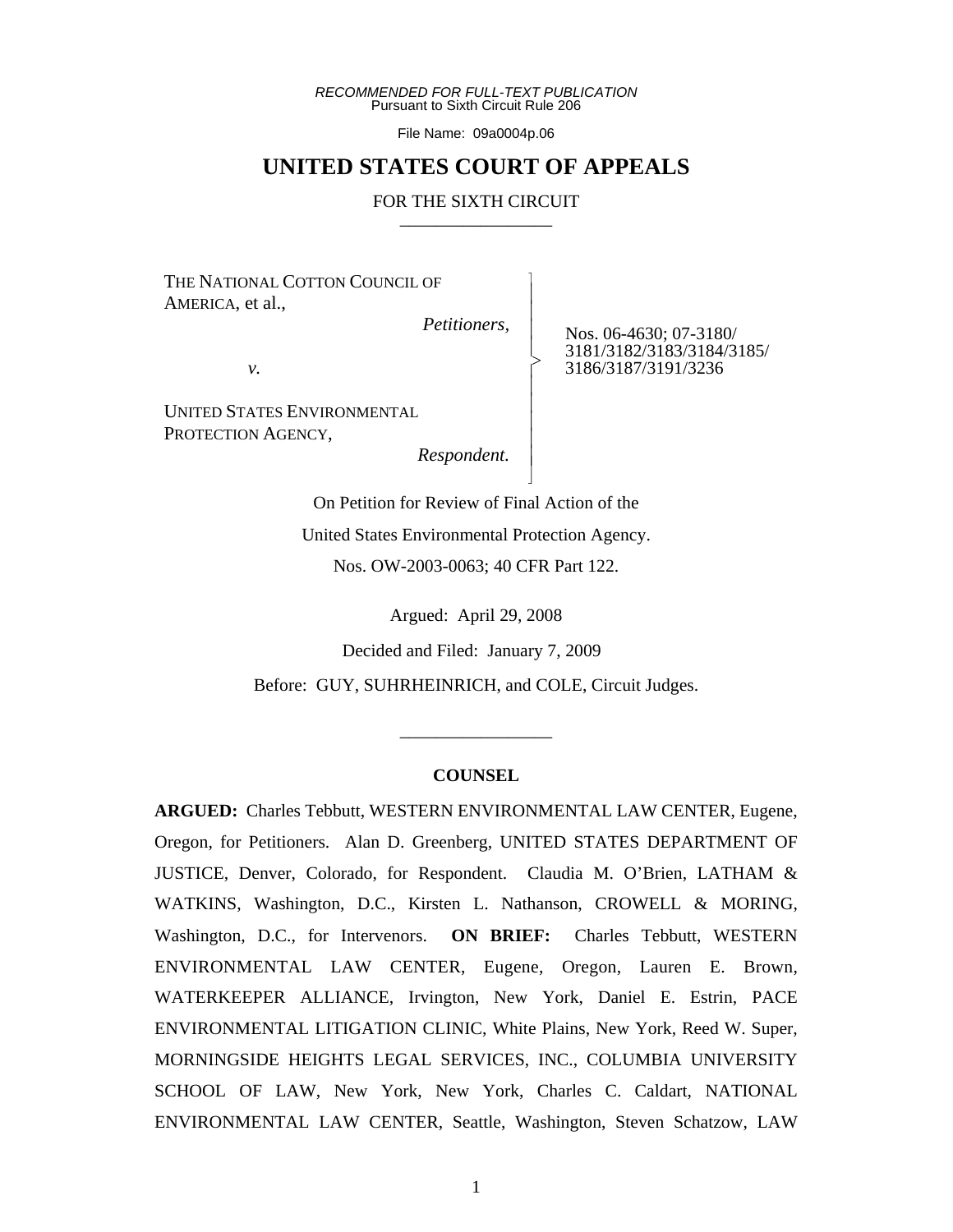*RECOMMENDED FOR FULL-TEXT PUBLICATION* Pursuant to Sixth Circuit Rule 206

File Name: 09a0004p.06

# **UNITED STATES COURT OF APPEALS**

#### FOR THE SIXTH CIRCUIT

 $\overline{\phantom{a}}$ - - - > , - - - - - N

THE NATIONAL COTTON COUNCIL OF AMERICA, et al.,

 *Petitioners,*

Nos. 06-4630; 07-3180/ 3181/3182/3183/3184/3185/ 3186/3187/3191/3236

*v.*

UNITED STATES ENVIRONMENTAL PROTECTION AGENCY,

 *Respondent.*

On Petition for Review of Final Action of the United States Environmental Protection Agency. Nos. OW-2003-0063; 40 CFR Part 122.

Argued: April 29, 2008

Decided and Filed: January 7, 2009

Before: GUY, SUHRHEINRICH, and COLE, Circuit Judges.

#### **COUNSEL**

\_\_\_\_\_\_\_\_\_\_\_\_\_\_\_\_\_

**ARGUED:** Charles Tebbutt, WESTERN ENVIRONMENTAL LAW CENTER, Eugene, Oregon, for Petitioners. Alan D. Greenberg, UNITED STATES DEPARTMENT OF JUSTICE, Denver, Colorado, for Respondent. Claudia M. O'Brien, LATHAM & WATKINS, Washington, D.C., Kirsten L. Nathanson, CROWELL & MORING, Washington, D.C., for Intervenors. **ON BRIEF:** Charles Tebbutt, WESTERN ENVIRONMENTAL LAW CENTER, Eugene, Oregon, Lauren E. Brown, WATERKEEPER ALLIANCE, Irvington, New York, Daniel E. Estrin, PACE ENVIRONMENTAL LITIGATION CLINIC, White Plains, New York, Reed W. Super, MORNINGSIDE HEIGHTS LEGAL SERVICES, INC., COLUMBIA UNIVERSITY SCHOOL OF LAW, New York, New York, Charles C. Caldart, NATIONAL ENVIRONMENTAL LAW CENTER, Seattle, Washington, Steven Schatzow, LAW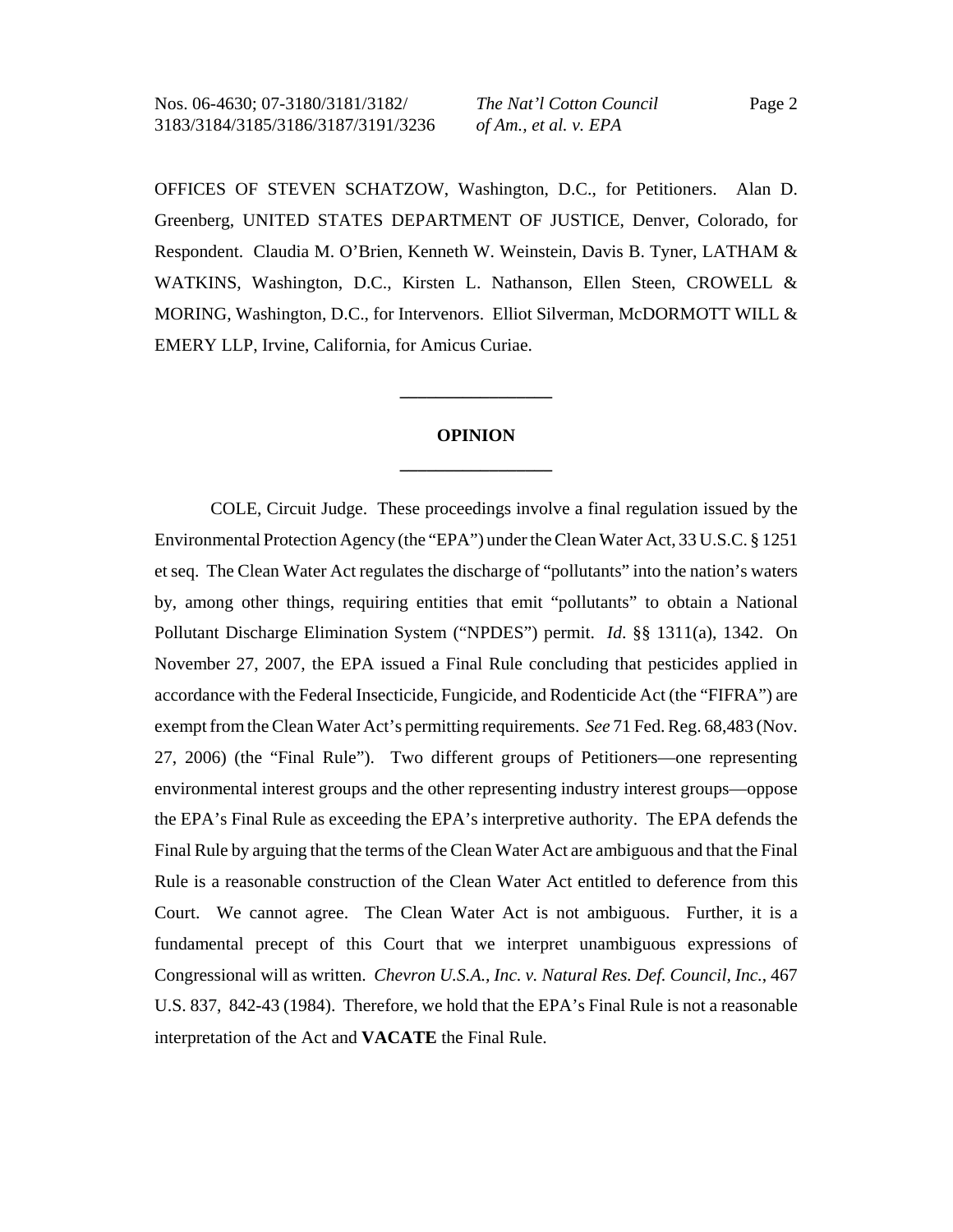OFFICES OF STEVEN SCHATZOW, Washington, D.C., for Petitioners. Alan D. Greenberg, UNITED STATES DEPARTMENT OF JUSTICE, Denver, Colorado, for Respondent. Claudia M. O'Brien, Kenneth W. Weinstein, Davis B. Tyner, LATHAM & WATKINS, Washington, D.C., Kirsten L. Nathanson, Ellen Steen, CROWELL & MORING, Washington, D.C., for Intervenors. Elliot Silverman, McDORMOTT WILL & EMERY LLP, Irvine, California, for Amicus Curiae.

# **OPINION \_\_\_\_\_\_\_\_\_\_\_\_\_\_\_\_\_**

**\_\_\_\_\_\_\_\_\_\_\_\_\_\_\_\_\_**

COLE, Circuit Judge. These proceedings involve a final regulation issued by the Environmental Protection Agency (the "EPA") under the Clean Water Act, 33 U.S.C. § 1251 et seq. The Clean Water Act regulates the discharge of "pollutants" into the nation's waters by, among other things, requiring entities that emit "pollutants" to obtain a National Pollutant Discharge Elimination System ("NPDES") permit. *Id*. §§ 1311(a), 1342. On November 27, 2007, the EPA issued a Final Rule concluding that pesticides applied in accordance with the Federal Insecticide, Fungicide, and Rodenticide Act (the "FIFRA") are exempt from the Clean Water Act's permitting requirements. *See* 71 Fed. Reg. 68,483 (Nov. 27, 2006) (the "Final Rule"). Two different groups of Petitioners—one representing environmental interest groups and the other representing industry interest groups—oppose the EPA's Final Rule as exceeding the EPA's interpretive authority. The EPA defends the Final Rule by arguing that the terms of the Clean Water Act are ambiguous and that the Final Rule is a reasonable construction of the Clean Water Act entitled to deference from this Court. We cannot agree. The Clean Water Act is not ambiguous. Further, it is a fundamental precept of this Court that we interpret unambiguous expressions of Congressional will as written. *Chevron U.S.A., Inc. v. Natural Res. Def. Council, Inc.*, 467 U.S. 837, 842-43 (1984). Therefore, we hold that the EPA's Final Rule is not a reasonable interpretation of the Act and **VACATE** the Final Rule.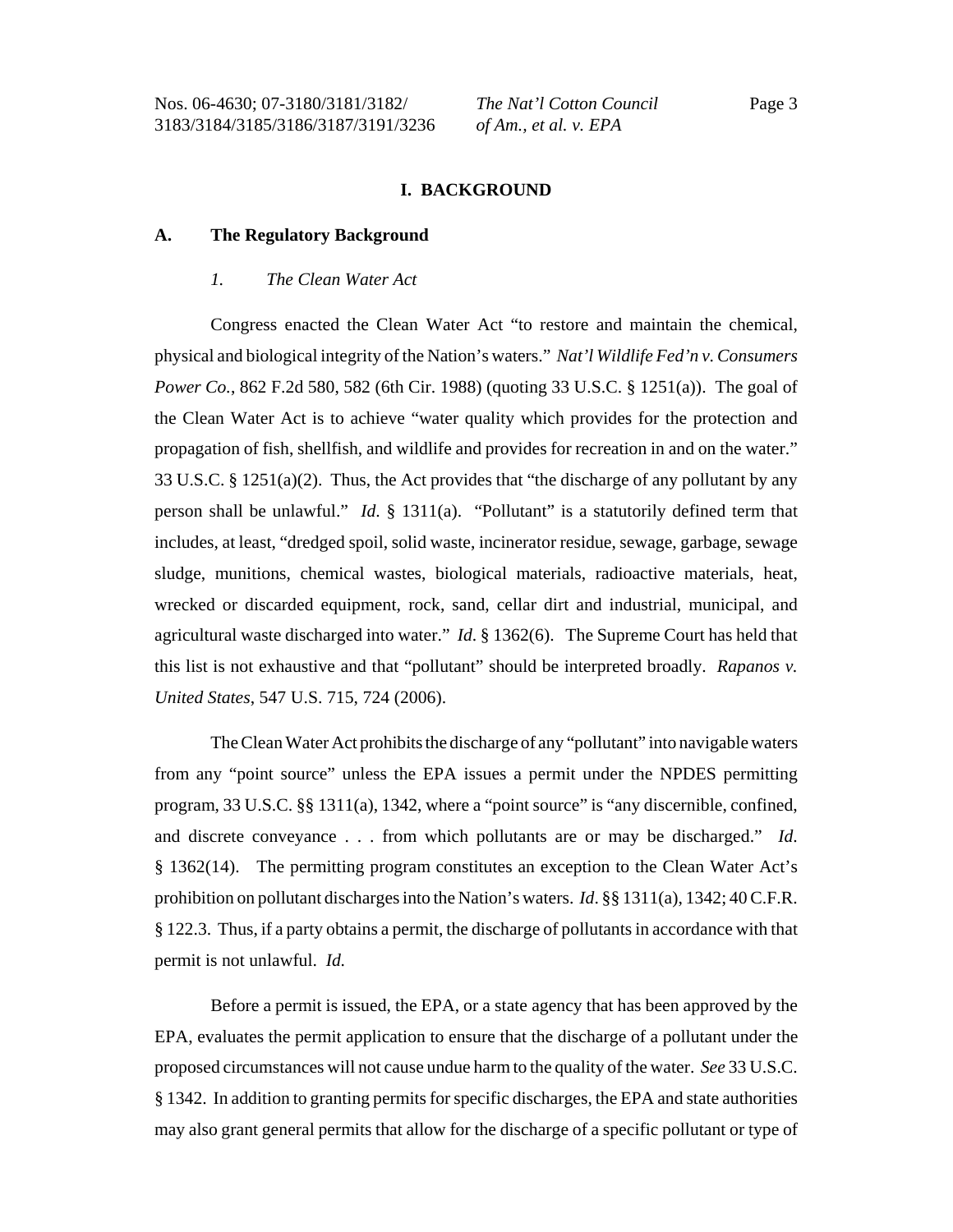### **I. BACKGROUND**

#### **A. The Regulatory Background**

#### *1. The Clean Water Act*

Congress enacted the Clean Water Act "to restore and maintain the chemical, physical and biological integrity of the Nation's waters." *Nat'l Wildlife Fed'n v. Consumers Power Co.*, 862 F.2d 580, 582 (6th Cir. 1988) (quoting 33 U.S.C. § 1251(a)). The goal of the Clean Water Act is to achieve "water quality which provides for the protection and propagation of fish, shellfish, and wildlife and provides for recreation in and on the water." 33 U.S.C. § 1251(a)(2). Thus, the Act provides that "the discharge of any pollutant by any person shall be unlawful." *Id*. § 1311(a). "Pollutant" is a statutorily defined term that includes, at least, "dredged spoil, solid waste, incinerator residue, sewage, garbage, sewage sludge, munitions, chemical wastes, biological materials, radioactive materials, heat, wrecked or discarded equipment, rock, sand, cellar dirt and industrial, municipal, and agricultural waste discharged into water." *Id*. § 1362(6). The Supreme Court has held that this list is not exhaustive and that "pollutant" should be interpreted broadly. *Rapanos v. United States*, 547 U.S. 715, 724 (2006).

The Clean Water Act prohibits the discharge of any "pollutant" into navigable waters from any "point source" unless the EPA issues a permit under the NPDES permitting program, 33 U.S.C. §§ 1311(a), 1342, where a "point source" is "any discernible, confined, and discrete conveyance . . . from which pollutants are or may be discharged." *Id*. § 1362(14). The permitting program constitutes an exception to the Clean Water Act's prohibition on pollutant discharges into the Nation's waters. *Id*. §§ 1311(a), 1342; 40 C.F.R. § 122.3. Thus, if a party obtains a permit, the discharge of pollutants in accordance with that permit is not unlawful. *Id.*

Before a permit is issued, the EPA, or a state agency that has been approved by the EPA, evaluates the permit application to ensure that the discharge of a pollutant under the proposed circumstances will not cause undue harm to the quality of the water. *See* 33 U.S.C. § 1342. In addition to granting permits for specific discharges, the EPA and state authorities may also grant general permits that allow for the discharge of a specific pollutant or type of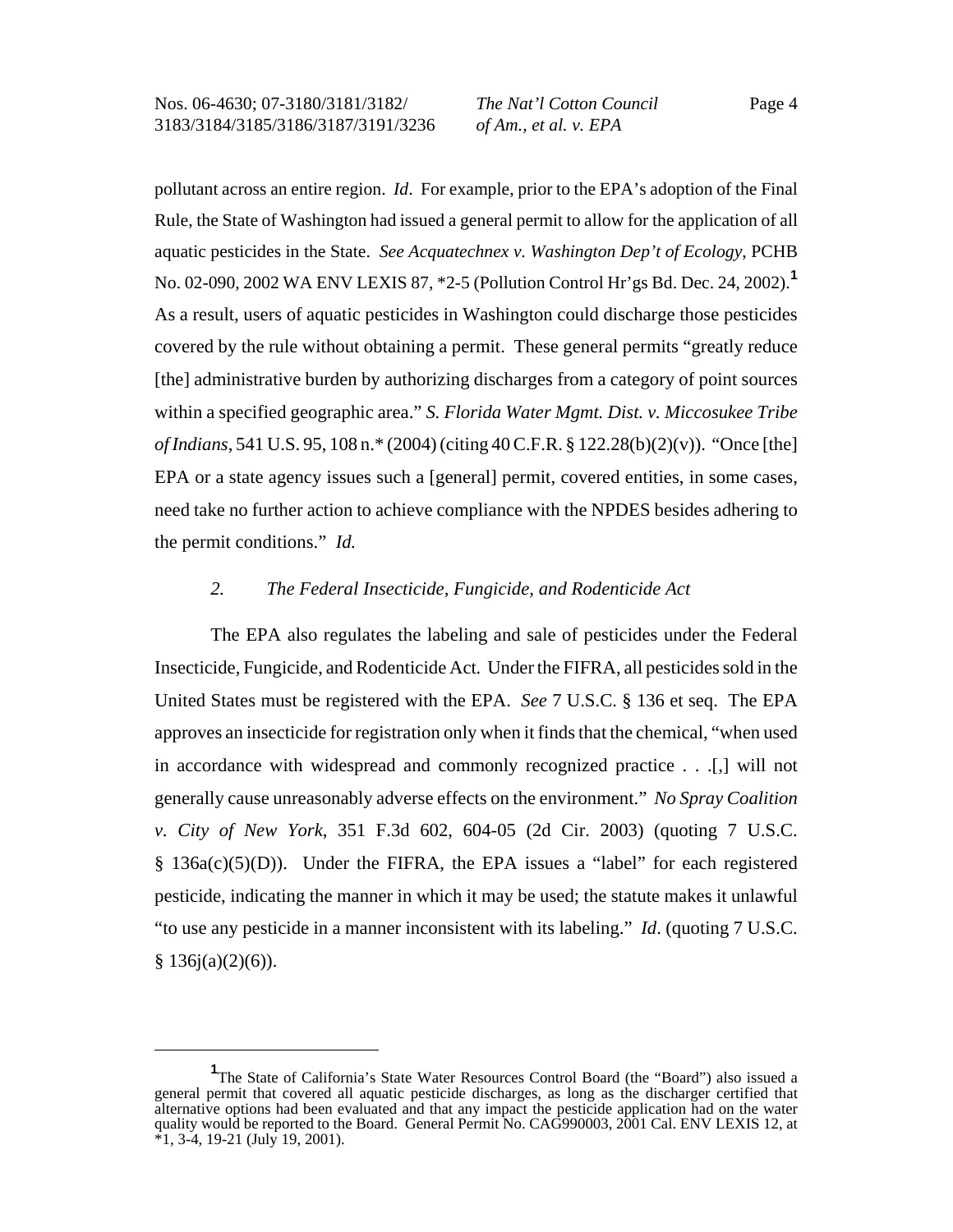pollutant across an entire region. *Id*. For example, prior to the EPA's adoption of the Final Rule, the State of Washington had issued a general permit to allow for the application of all aquatic pesticides in the State. *See Acquatechnex v. Washington Dep't of Ecology*, PCHB No. 02-090, 2002 WA ENV LEXIS 87, \*2-5 (Pollution Control Hr'gs Bd. Dec. 24, 2002).**<sup>1</sup>** As a result, users of aquatic pesticides in Washington could discharge those pesticides covered by the rule without obtaining a permit. These general permits "greatly reduce [the] administrative burden by authorizing discharges from a category of point sources within a specified geographic area." *S. Florida Water Mgmt. Dist. v. Miccosukee Tribe of Indians*, 541 U.S. 95, 108 n.\* (2004) (citing 40 C.F.R. § 122.28(b)(2)(v)). "Once [the] EPA or a state agency issues such a [general] permit, covered entities, in some cases, need take no further action to achieve compliance with the NPDES besides adhering to the permit conditions." *Id.*

#### *2. The Federal Insecticide, Fungicide, and Rodenticide Act*

The EPA also regulates the labeling and sale of pesticides under the Federal Insecticide, Fungicide, and Rodenticide Act*.* Under the FIFRA, all pesticides sold in the United States must be registered with the EPA. *See* 7 U.S.C. § 136 et seq. The EPA approves an insecticide for registration only when it finds that the chemical, "when used in accordance with widespread and commonly recognized practice . . .[,] will not generally cause unreasonably adverse effects on the environment." *No Spray Coalition v. City of New York*, 351 F.3d 602, 604-05 (2d Cir. 2003) (quoting 7 U.S.C. § 136a(c)(5)(D)). Under the FIFRA, the EPA issues a "label" for each registered pesticide, indicating the manner in which it may be used; the statute makes it unlawful "to use any pesticide in a manner inconsistent with its labeling." *Id*. (quoting 7 U.S.C.  $§ 136j(a)(2)(6)$ ).

<sup>&</sup>lt;sup>1</sup>The State of California's State Water Resources Control Board (the "Board") also issued a general permit that covered all aquatic pesticide discharges, as long as the discharger certified that alternative options had been evaluated and that any impact the pesticide application had on the water quality would be reported to the Board. General Permit No. CAG990003, 2001 Cal. ENV LEXIS 12, at  $*1, 3-4, 19-21$  (July 19, 2001).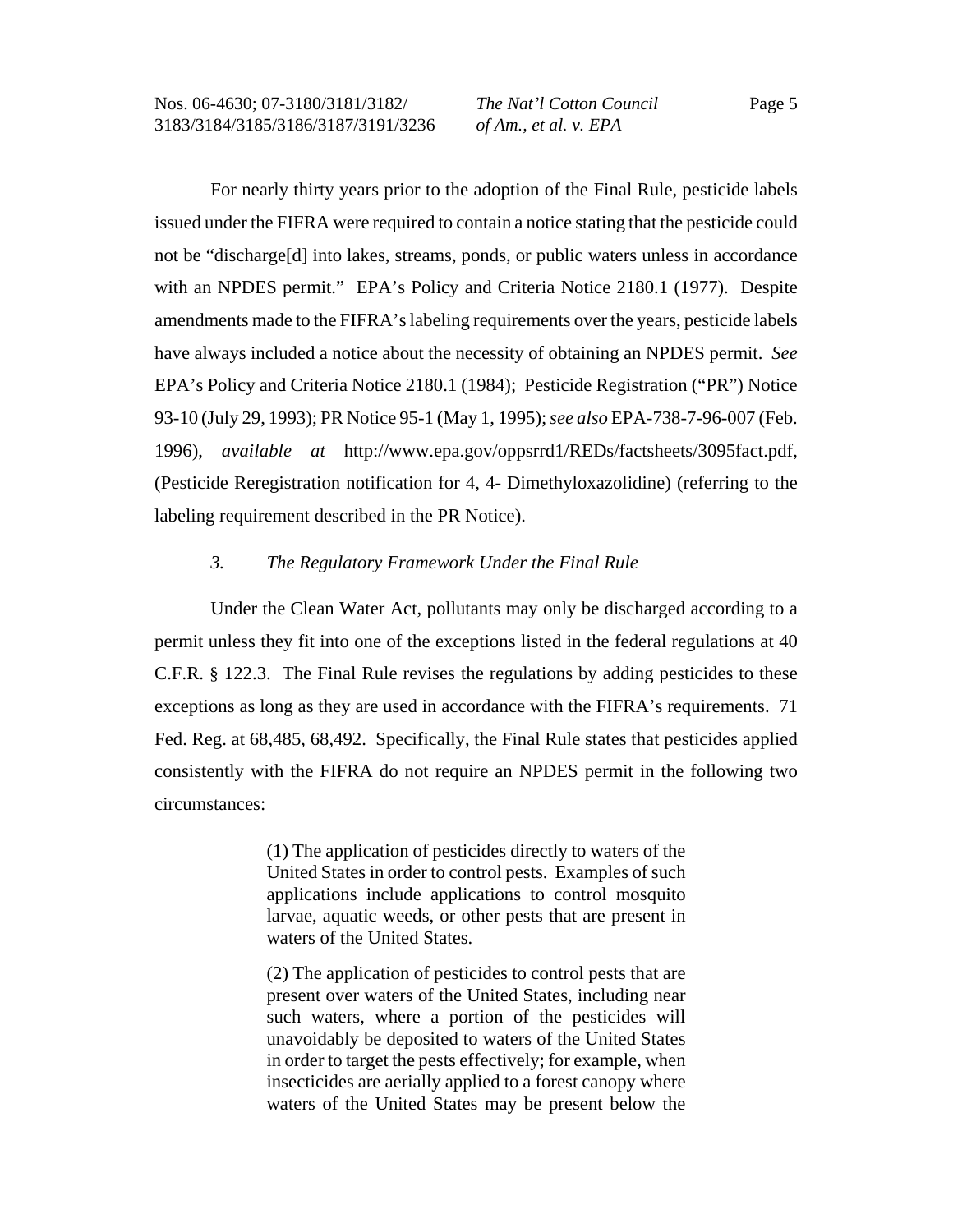For nearly thirty years prior to the adoption of the Final Rule, pesticide labels issued under the FIFRA were required to contain a notice stating that the pesticide could not be "discharge[d] into lakes, streams, ponds, or public waters unless in accordance with an NPDES permit." EPA's Policy and Criteria Notice 2180.1 (1977). Despite amendments made to the FIFRA's labeling requirements over the years, pesticide labels have always included a notice about the necessity of obtaining an NPDES permit. *See* EPA's Policy and Criteria Notice 2180.1 (1984); Pesticide Registration ("PR") Notice 93-10 (July 29, 1993); PR Notice 95-1 (May 1, 1995); *see also* EPA-738-7-96-007 (Feb. 1996), *available at* http://www.epa.gov/oppsrrd1/REDs/factsheets/3095fact.pdf, (Pesticide Reregistration notification for 4, 4- Dimethyloxazolidine) (referring to the labeling requirement described in the PR Notice).

### *3. The Regulatory Framework Under the Final Rule*

Under the Clean Water Act, pollutants may only be discharged according to a permit unless they fit into one of the exceptions listed in the federal regulations at 40 C.F.R. § 122.3. The Final Rule revises the regulations by adding pesticides to these exceptions as long as they are used in accordance with the FIFRA's requirements. 71 Fed. Reg. at 68,485, 68,492. Specifically, the Final Rule states that pesticides applied consistently with the FIFRA do not require an NPDES permit in the following two circumstances:

> (1) The application of pesticides directly to waters of the United States in order to control pests. Examples of such applications include applications to control mosquito larvae, aquatic weeds, or other pests that are present in waters of the United States.

> (2) The application of pesticides to control pests that are present over waters of the United States, including near such waters, where a portion of the pesticides will unavoidably be deposited to waters of the United States in order to target the pests effectively; for example, when insecticides are aerially applied to a forest canopy where waters of the United States may be present below the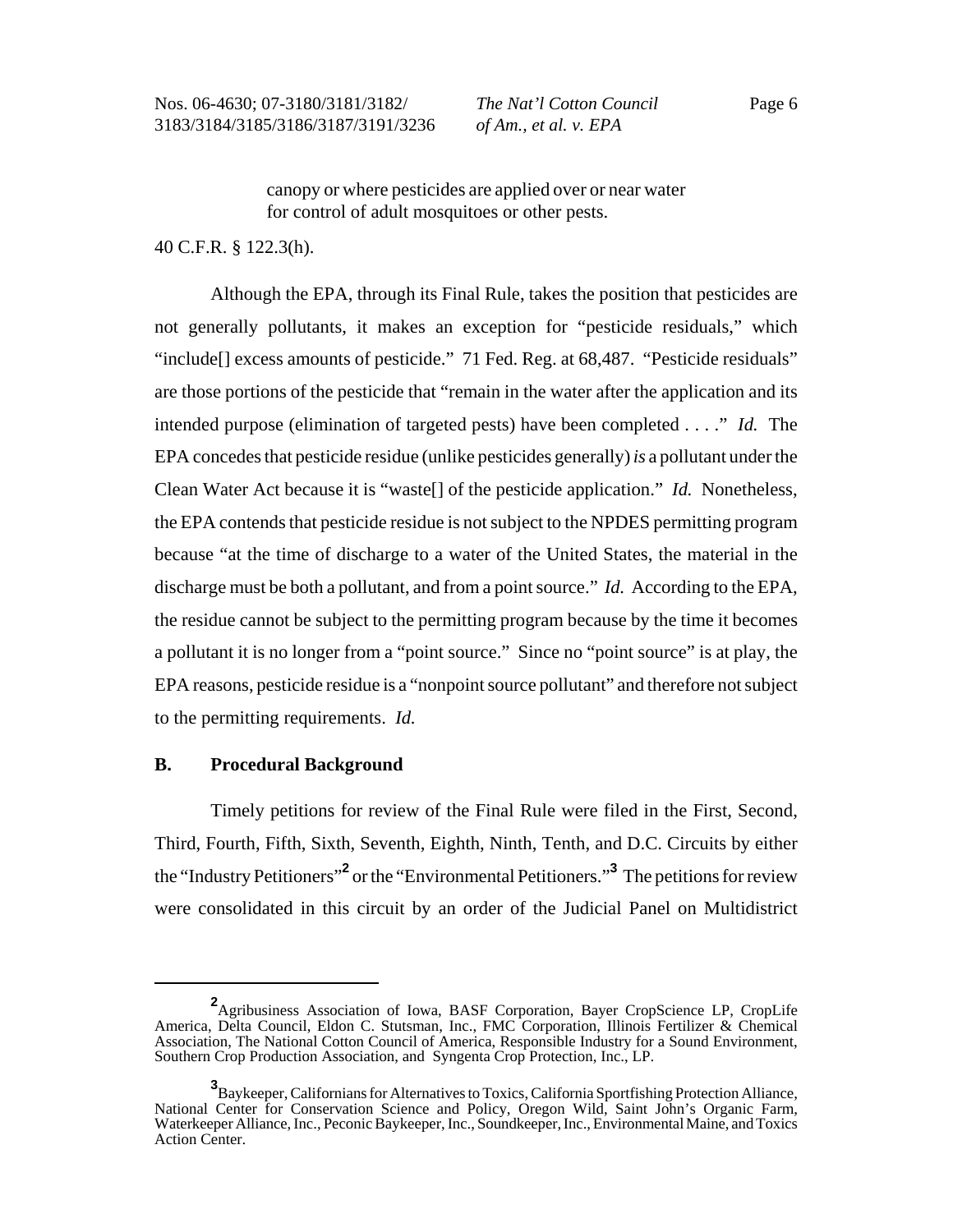canopy or where pesticides are applied over or near water for control of adult mosquitoes or other pests.

#### 40 C.F.R. § 122.3(h).

Although the EPA, through its Final Rule, takes the position that pesticides are not generally pollutants, it makes an exception for "pesticide residuals," which "include[] excess amounts of pesticide." 71 Fed. Reg. at 68,487. "Pesticide residuals" are those portions of the pesticide that "remain in the water after the application and its intended purpose (elimination of targeted pests) have been completed . . . ." *Id.* The EPA concedes that pesticide residue (unlike pesticides generally) *is* a pollutant under the Clean Water Act because it is "waste[] of the pesticide application." *Id.* Nonetheless, the EPA contends that pesticide residue is not subject to the NPDES permitting program because "at the time of discharge to a water of the United States, the material in the discharge must be both a pollutant, and from a point source." *Id.* According to the EPA, the residue cannot be subject to the permitting program because by the time it becomes a pollutant it is no longer from a "point source." Since no "point source" is at play, the EPA reasons, pesticide residue is a "nonpoint source pollutant" and therefore not subject to the permitting requirements. *Id.*

#### **B. Procedural Background**

Timely petitions for review of the Final Rule were filed in the First, Second, Third, Fourth, Fifth, Sixth, Seventh, Eighth, Ninth, Tenth, and D.C. Circuits by either the "Industry Petitioners"<sup>2</sup> or the "Environmental Petitioners."<sup>3</sup> The petitions for review were consolidated in this circuit by an order of the Judicial Panel on Multidistrict

**<sup>2</sup>** Agribusiness Association of Iowa, BASF Corporation, Bayer CropScience LP, CropLife America, Delta Council, Eldon C. Stutsman, Inc., FMC Corporation, Illinois Fertilizer & Chemical Association, The National Cotton Council of America, Responsible Industry for a Sound Environment, Southern Crop Production Association, and Syngenta Crop Protection, Inc., LP.

**<sup>3</sup>** Baykeeper, Californians for Alternatives to Toxics, California Sportfishing Protection Alliance, National Center for Conservation Science and Policy, Oregon Wild, Saint John's Organic Farm, Waterkeeper Alliance, Inc., Peconic Baykeeper, Inc., Soundkeeper, Inc., Environmental Maine, and Toxics Action Center.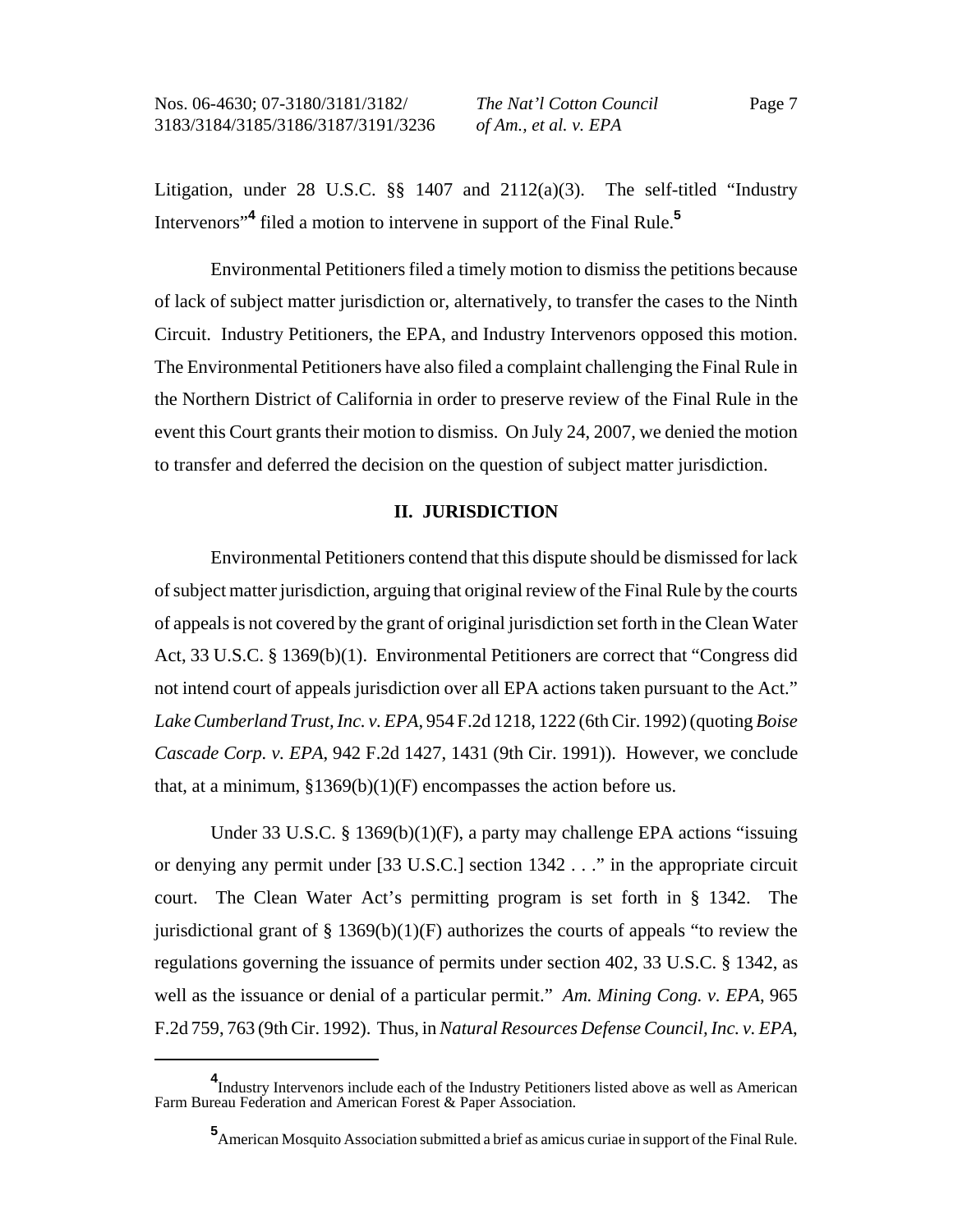Litigation, under 28 U.S.C.  $\S$  1407 and 2112(a)(3). The self-titled "Industry Intervenors"**<sup>4</sup>** filed a motion to intervene in support of the Final Rule.**<sup>5</sup>**

Environmental Petitioners filed a timely motion to dismiss the petitions because of lack of subject matter jurisdiction or, alternatively, to transfer the cases to the Ninth Circuit. Industry Petitioners, the EPA, and Industry Intervenors opposed this motion. The Environmental Petitioners have also filed a complaint challenging the Final Rule in the Northern District of California in order to preserve review of the Final Rule in the event this Court grants their motion to dismiss. On July 24, 2007, we denied the motion to transfer and deferred the decision on the question of subject matter jurisdiction.

### **II. JURISDICTION**

Environmental Petitioners contend that this dispute should be dismissed for lack of subject matter jurisdiction, arguing that original review of the Final Rule by the courts of appeals is not covered by the grant of original jurisdiction set forth in the Clean Water Act, 33 U.S.C. § 1369(b)(1). Environmental Petitioners are correct that "Congress did not intend court of appeals jurisdiction over all EPA actions taken pursuant to the Act." *Lake Cumberland Trust, Inc. v. EPA*, 954 F.2d 1218, 1222 (6th Cir. 1992) (quoting *Boise Cascade Corp. v. EPA*, 942 F.2d 1427, 1431 (9th Cir. 1991)). However, we conclude that, at a minimum,  $$1369(b)(1)(F)$  encompasses the action before us.

Under 33 U.S.C. § 1369(b)(1)(F), a party may challenge EPA actions "issuing or denying any permit under [33 U.S.C.] section 1342 . . ." in the appropriate circuit court. The Clean Water Act's permitting program is set forth in § 1342. The jurisdictional grant of  $\S$  1369(b)(1)(F) authorizes the courts of appeals "to review the regulations governing the issuance of permits under section 402, 33 U.S.C. § 1342, as well as the issuance or denial of a particular permit." *Am. Mining Cong. v. EPA*, 965 F.2d 759, 763 (9th Cir. 1992). Thus, in *Natural Resources Defense Council, Inc. v. EPA*,

**<sup>4</sup>** Industry Intervenors include each of the Industry Petitioners listed above as well as American Farm Bureau Federation and American Forest & Paper Association.

**<sup>5</sup>** American Mosquito Association submitted a brief as amicus curiae in support of the Final Rule.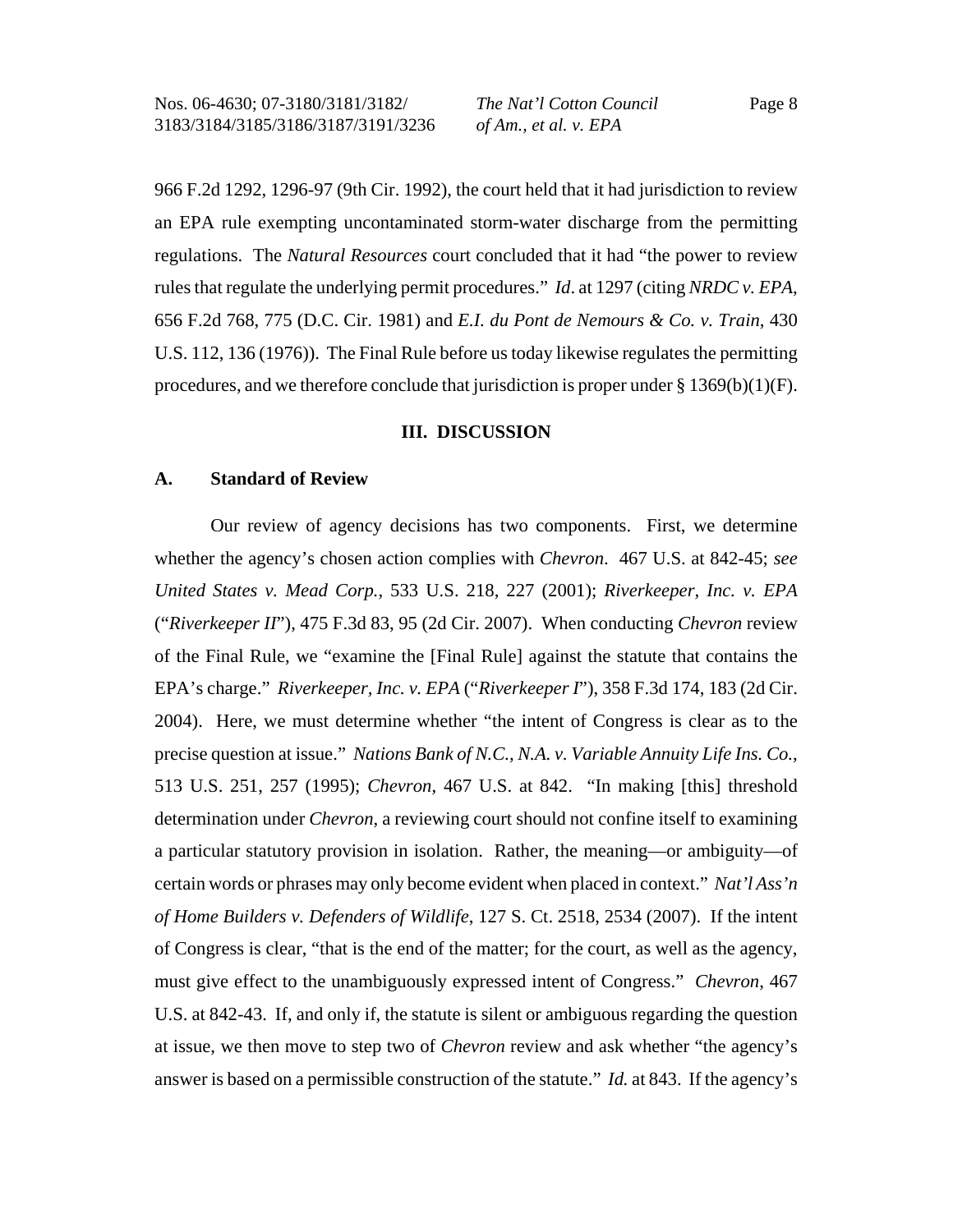966 F.2d 1292, 1296-97 (9th Cir. 1992), the court held that it had jurisdiction to review an EPA rule exempting uncontaminated storm-water discharge from the permitting regulations. The *Natural Resources* court concluded that it had "the power to review rules that regulate the underlying permit procedures." *Id*. at 1297 (citing *NRDC v. EPA*, 656 F.2d 768, 775 (D.C. Cir. 1981) and *E.I. du Pont de Nemours & Co. v. Train*, 430 U.S. 112, 136 (1976)). The Final Rule before us today likewise regulates the permitting procedures, and we therefore conclude that jurisdiction is proper under  $\S 1369(b)(1)(F)$ .

### **III. DISCUSSION**

#### **A. Standard of Review**

Our review of agency decisions has two components. First, we determine whether the agency's chosen action complies with *Chevron*. 467 U.S. at 842-45; *see United States v. Mead Corp.*, 533 U.S. 218, 227 (2001); *Riverkeeper, Inc. v. EPA* ("*Riverkeeper II*"), 475 F.3d 83, 95 (2d Cir. 2007). When conducting *Chevron* review of the Final Rule, we "examine the [Final Rule] against the statute that contains the EPA's charge." *Riverkeeper, Inc. v. EPA* ("*Riverkeeper I*"), 358 F.3d 174, 183 (2d Cir. 2004). Here, we must determine whether "the intent of Congress is clear as to the precise question at issue." *Nations Bank of N.C., N.A. v. Variable Annuity Life Ins. Co.*, 513 U.S. 251, 257 (1995); *Chevron*, 467 U.S. at 842. "In making [this] threshold determination under *Chevron*, a reviewing court should not confine itself to examining a particular statutory provision in isolation. Rather, the meaning—or ambiguity—of certain words or phrases may only become evident when placed in context." *Nat'l Ass'n of Home Builders v. Defenders of Wildlife*, 127 S. Ct. 2518, 2534 (2007). If the intent of Congress is clear, "that is the end of the matter; for the court, as well as the agency, must give effect to the unambiguously expressed intent of Congress." *Chevron*, 467 U.S. at 842-43. If, and only if, the statute is silent or ambiguous regarding the question at issue, we then move to step two of *Chevron* review and ask whether "the agency's answer is based on a permissible construction of the statute." *Id.* at 843. If the agency's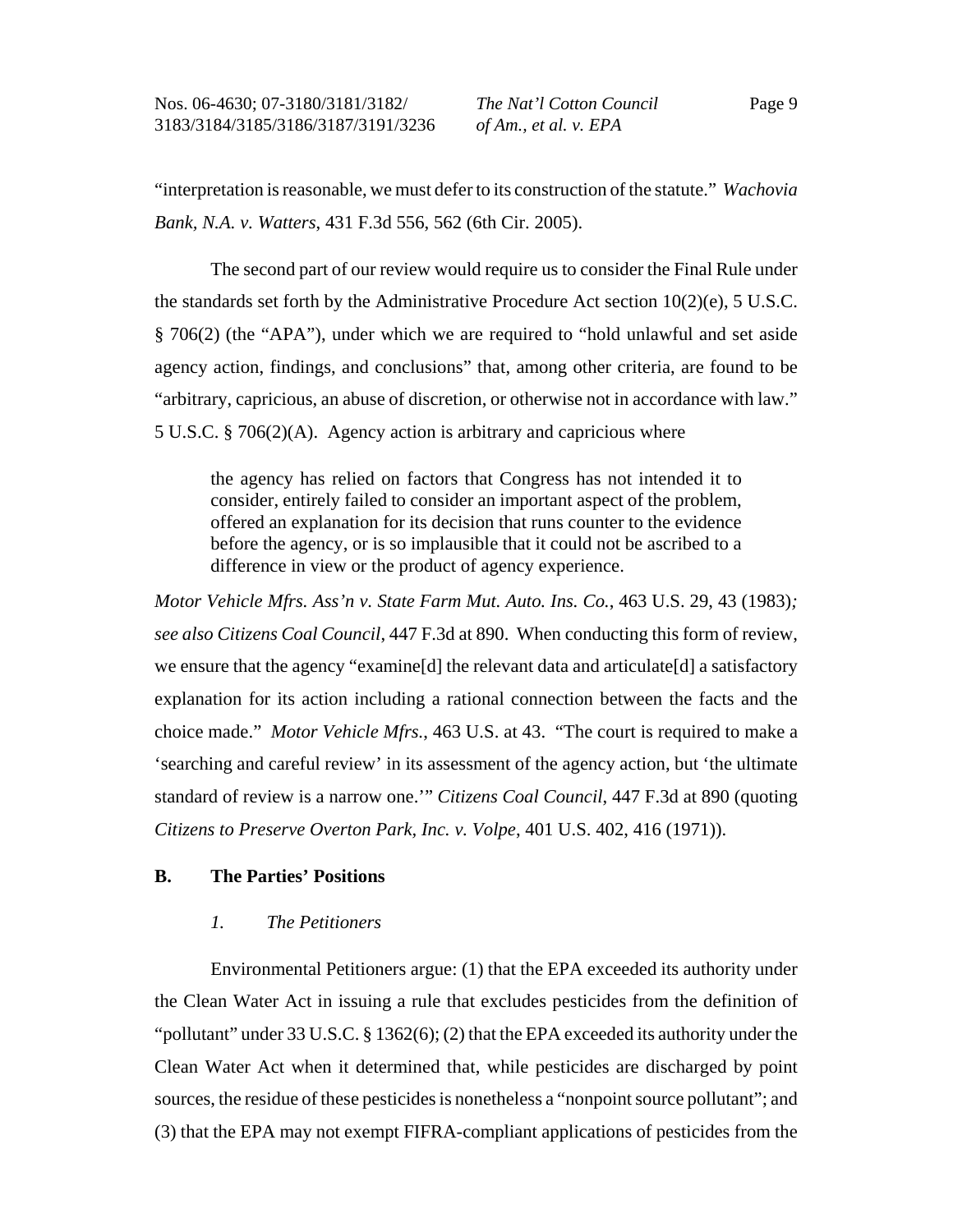"interpretation is reasonable, we must defer to its construction of the statute." *Wachovia Bank, N.A. v. Watters*, 431 F.3d 556, 562 (6th Cir. 2005).

The second part of our review would require us to consider the Final Rule under the standards set forth by the Administrative Procedure Act section 10(2)(e), 5 U.S.C. § 706(2) (the "APA"), under which we are required to "hold unlawful and set aside agency action, findings, and conclusions" that, among other criteria, are found to be "arbitrary, capricious, an abuse of discretion, or otherwise not in accordance with law." 5 U.S.C. § 706(2)(A). Agency action is arbitrary and capricious where

the agency has relied on factors that Congress has not intended it to consider, entirely failed to consider an important aspect of the problem, offered an explanation for its decision that runs counter to the evidence before the agency, or is so implausible that it could not be ascribed to a difference in view or the product of agency experience.

*Motor Vehicle Mfrs. Ass'n v. State Farm Mut. Auto. Ins. Co.*, 463 U.S. 29, 43 (1983)*; see also Citizens Coal Council*, 447 F.3d at 890. When conducting this form of review, we ensure that the agency "examine[d] the relevant data and articulate[d] a satisfactory explanation for its action including a rational connection between the facts and the choice made." *Motor Vehicle Mfrs.*, 463 U.S. at 43. "The court is required to make a 'searching and careful review' in its assessment of the agency action, but 'the ultimate standard of review is a narrow one.'" *Citizens Coal Council*, 447 F.3d at 890 (quoting *Citizens to Preserve Overton Park, Inc. v. Volpe*, 401 U.S. 402, 416 (1971)).

#### **B. The Parties' Positions**

#### *1. The Petitioners*

Environmental Petitioners argue: (1) that the EPA exceeded its authority under the Clean Water Act in issuing a rule that excludes pesticides from the definition of "pollutant" under 33 U.S.C. § 1362(6); (2) that the EPA exceeded its authority under the Clean Water Act when it determined that, while pesticides are discharged by point sources, the residue of these pesticides is nonetheless a "nonpoint source pollutant"; and (3) that the EPA may not exempt FIFRA-compliant applications of pesticides from the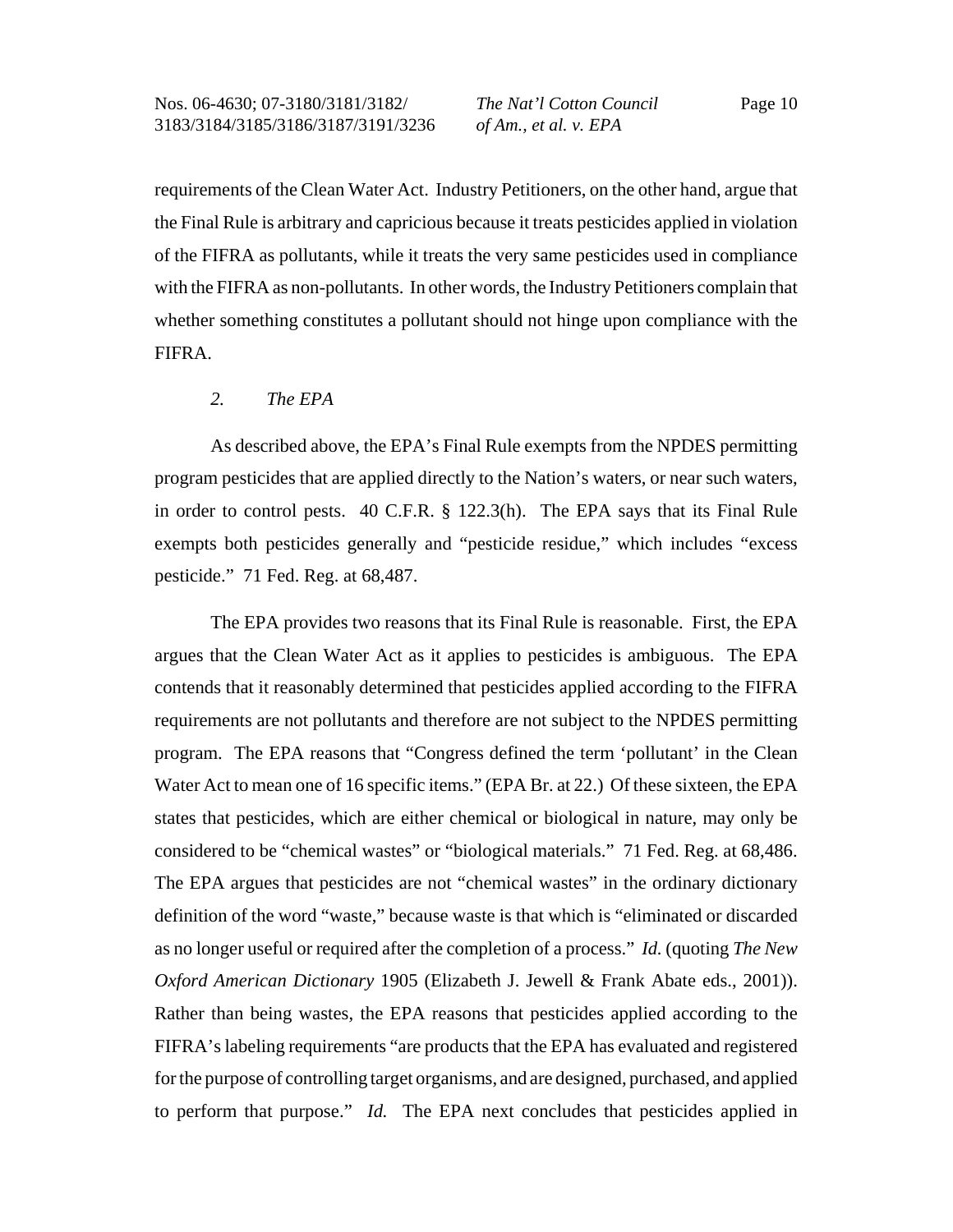requirements of the Clean Water Act. Industry Petitioners, on the other hand, argue that the Final Rule is arbitrary and capricious because it treats pesticides applied in violation of the FIFRA as pollutants, while it treats the very same pesticides used in compliance with the FIFRA as non-pollutants. In other words, the Industry Petitioners complain that whether something constitutes a pollutant should not hinge upon compliance with the FIFRA.

#### *2. The EPA*

As described above, the EPA's Final Rule exempts from the NPDES permitting program pesticides that are applied directly to the Nation's waters, or near such waters, in order to control pests. 40 C.F.R. § 122.3(h). The EPA says that its Final Rule exempts both pesticides generally and "pesticide residue," which includes "excess pesticide." 71 Fed. Reg. at 68,487.

The EPA provides two reasons that its Final Rule is reasonable. First, the EPA argues that the Clean Water Act as it applies to pesticides is ambiguous. The EPA contends that it reasonably determined that pesticides applied according to the FIFRA requirements are not pollutants and therefore are not subject to the NPDES permitting program. The EPA reasons that "Congress defined the term 'pollutant' in the Clean Water Act to mean one of 16 specific items." (EPA Br. at 22.) Of these sixteen, the EPA states that pesticides, which are either chemical or biological in nature, may only be considered to be "chemical wastes" or "biological materials." 71 Fed. Reg. at 68,486. The EPA argues that pesticides are not "chemical wastes" in the ordinary dictionary definition of the word "waste," because waste is that which is "eliminated or discarded as no longer useful or required after the completion of a process." *Id.* (quoting *The New Oxford American Dictionary* 1905 (Elizabeth J. Jewell & Frank Abate eds., 2001)). Rather than being wastes, the EPA reasons that pesticides applied according to the FIFRA's labeling requirements "are products that the EPA has evaluated and registered for the purpose of controlling target organisms, and are designed, purchased, and applied to perform that purpose." *Id.* The EPA next concludes that pesticides applied in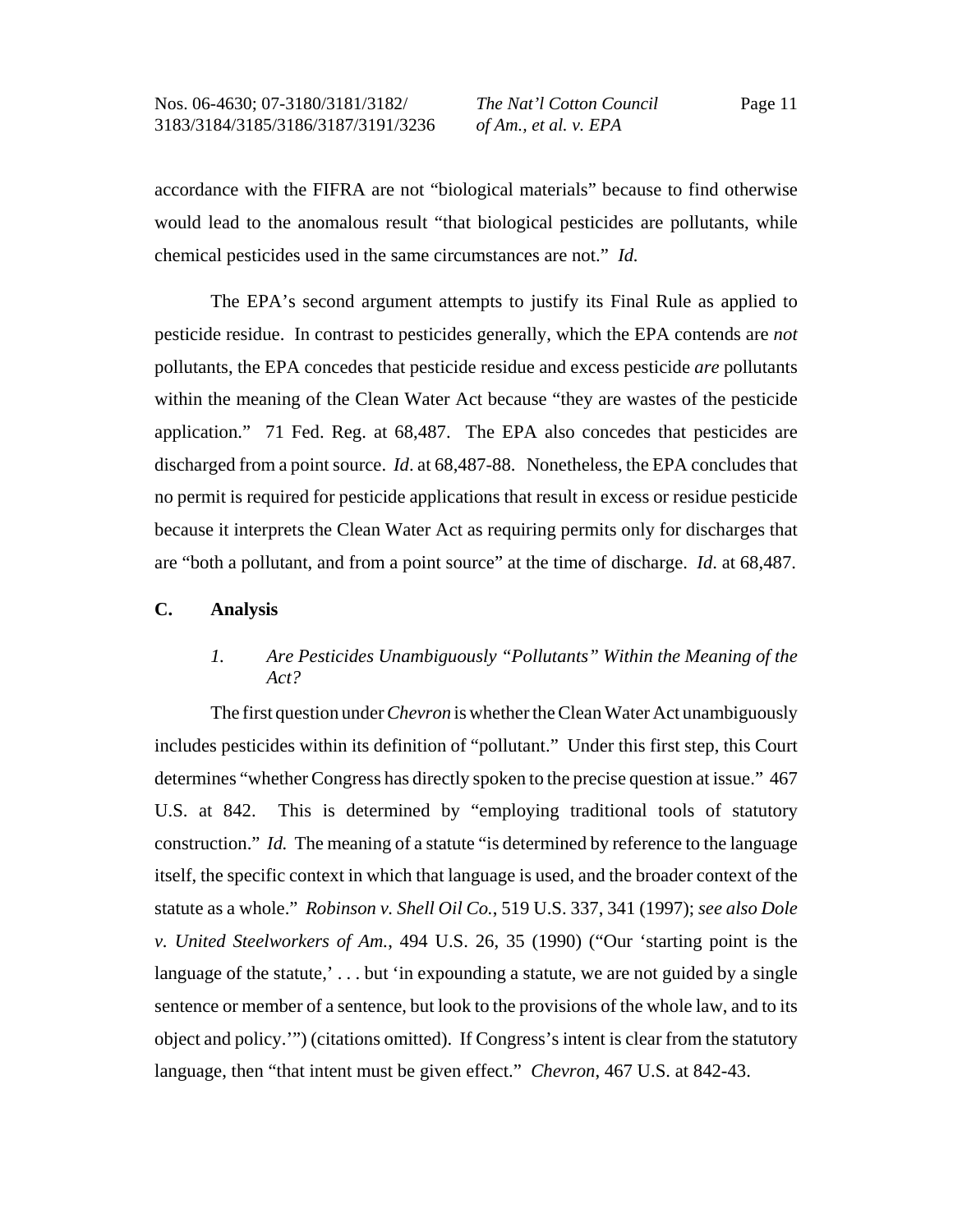accordance with the FIFRA are not "biological materials" because to find otherwise would lead to the anomalous result "that biological pesticides are pollutants, while chemical pesticides used in the same circumstances are not." *Id.*

The EPA's second argument attempts to justify its Final Rule as applied to pesticide residue. In contrast to pesticides generally, which the EPA contends are *not* pollutants, the EPA concedes that pesticide residue and excess pesticide *are* pollutants within the meaning of the Clean Water Act because "they are wastes of the pesticide application." 71 Fed. Reg. at 68,487. The EPA also concedes that pesticides are discharged from a point source. *Id*. at 68,487-88. Nonetheless, the EPA concludes that no permit is required for pesticide applications that result in excess or residue pesticide because it interprets the Clean Water Act as requiring permits only for discharges that are "both a pollutant, and from a point source" at the time of discharge. *Id*. at 68,487.

# **C. Analysis**

# *1. Are Pesticides Unambiguously "Pollutants" Within the Meaning of the Act?*

The first question under *Chevron* is whether the Clean Water Act unambiguously includes pesticides within its definition of "pollutant." Under this first step, this Court determines "whether Congress has directly spoken to the precise question at issue." 467 U.S. at 842. This is determined by "employing traditional tools of statutory construction." *Id.* The meaning of a statute "is determined by reference to the language itself, the specific context in which that language is used, and the broader context of the statute as a whole." *Robinson v. Shell Oil Co.*, 519 U.S. 337, 341 (1997); *see also Dole v. United Steelworkers of Am.*, 494 U.S. 26, 35 (1990) ("Our 'starting point is the language of the statute,'... but 'in expounding a statute, we are not guided by a single sentence or member of a sentence, but look to the provisions of the whole law, and to its object and policy.'") (citations omitted). If Congress's intent is clear from the statutory language, then "that intent must be given effect." *Chevron*, 467 U.S. at 842-43.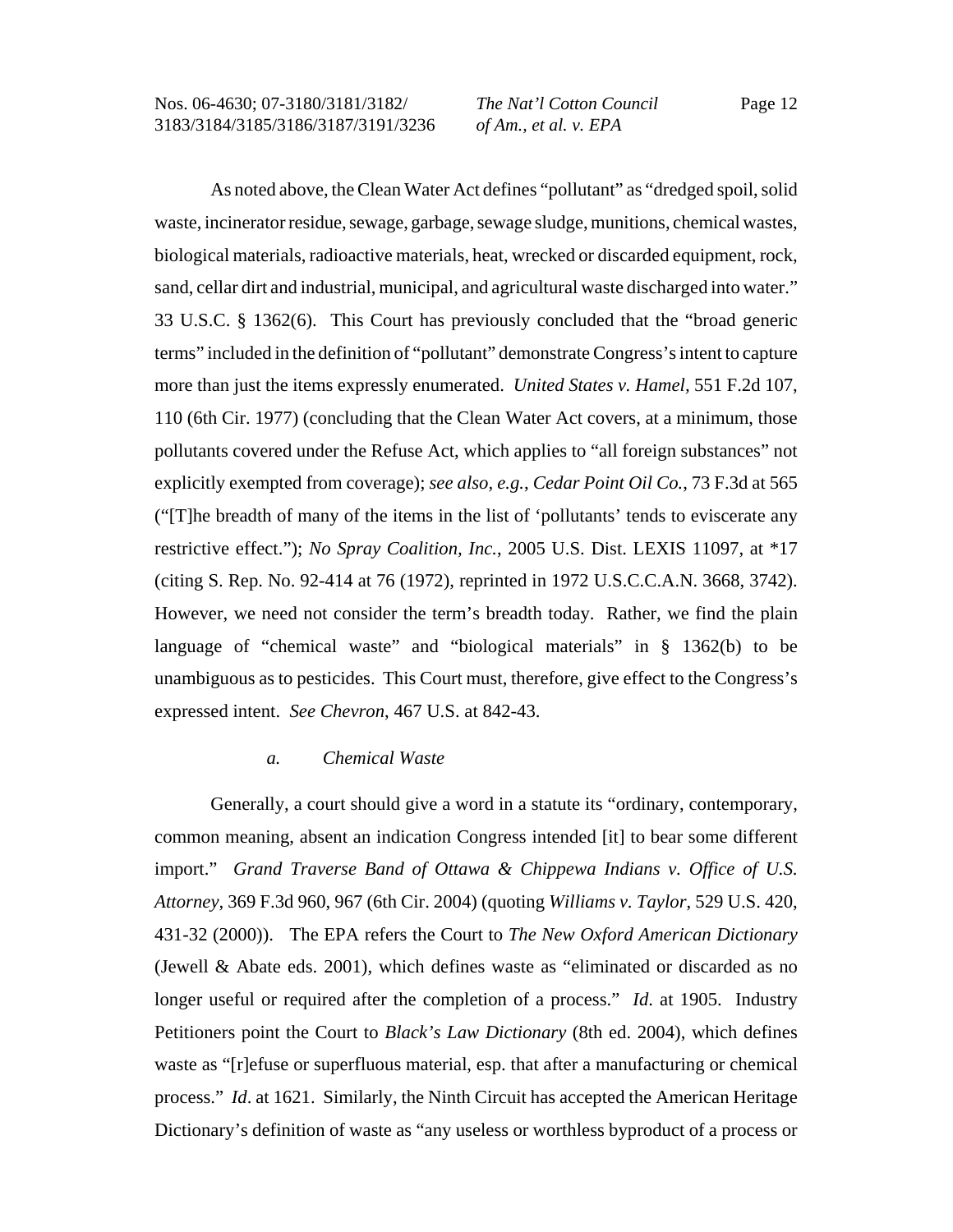As noted above, the Clean Water Act defines "pollutant" as "dredged spoil, solid waste, incinerator residue, sewage, garbage, sewage sludge, munitions, chemical wastes, biological materials, radioactive materials, heat, wrecked or discarded equipment, rock, sand, cellar dirt and industrial, municipal, and agricultural waste discharged into water." 33 U.S.C. § 1362(6). This Court has previously concluded that the "broad generic terms" included in the definition of "pollutant" demonstrate Congress's intent to capture more than just the items expressly enumerated. *United States v. Hamel,* 551 F.2d 107, 110 (6th Cir. 1977) (concluding that the Clean Water Act covers, at a minimum, those pollutants covered under the Refuse Act, which applies to "all foreign substances" not explicitly exempted from coverage); *see also, e.g.*, *Cedar Point Oil Co.*, 73 F.3d at 565 ("[T]he breadth of many of the items in the list of 'pollutants' tends to eviscerate any restrictive effect."); *No Spray Coalition, Inc.*, 2005 U.S. Dist. LEXIS 11097, at \*17 (citing S. Rep. No. 92-414 at 76 (1972), reprinted in 1972 U.S.C.C.A.N. 3668, 3742). However, we need not consider the term's breadth today. Rather, we find the plain language of "chemical waste" and "biological materials" in § 1362(b) to be unambiguous as to pesticides. This Court must, therefore, give effect to the Congress's expressed intent. *See Chevron*, 467 U.S. at 842-43.

#### *a. Chemical Waste*

Generally, a court should give a word in a statute its "ordinary, contemporary, common meaning, absent an indication Congress intended [it] to bear some different import." *Grand Traverse Band of Ottawa & Chippewa Indians v. Office of U.S. Attorney*, 369 F.3d 960, 967 (6th Cir. 2004) (quoting *Williams v. Taylor*, 529 U.S. 420, 431-32 (2000)). The EPA refers the Court to *The New Oxford American Dictionary* (Jewell & Abate eds. 2001), which defines waste as "eliminated or discarded as no longer useful or required after the completion of a process." *Id*. at 1905. Industry Petitioners point the Court to *Black's Law Dictionary* (8th ed. 2004), which defines waste as "[r]efuse or superfluous material, esp. that after a manufacturing or chemical process." *Id*. at 1621. Similarly, the Ninth Circuit has accepted the American Heritage Dictionary's definition of waste as "any useless or worthless byproduct of a process or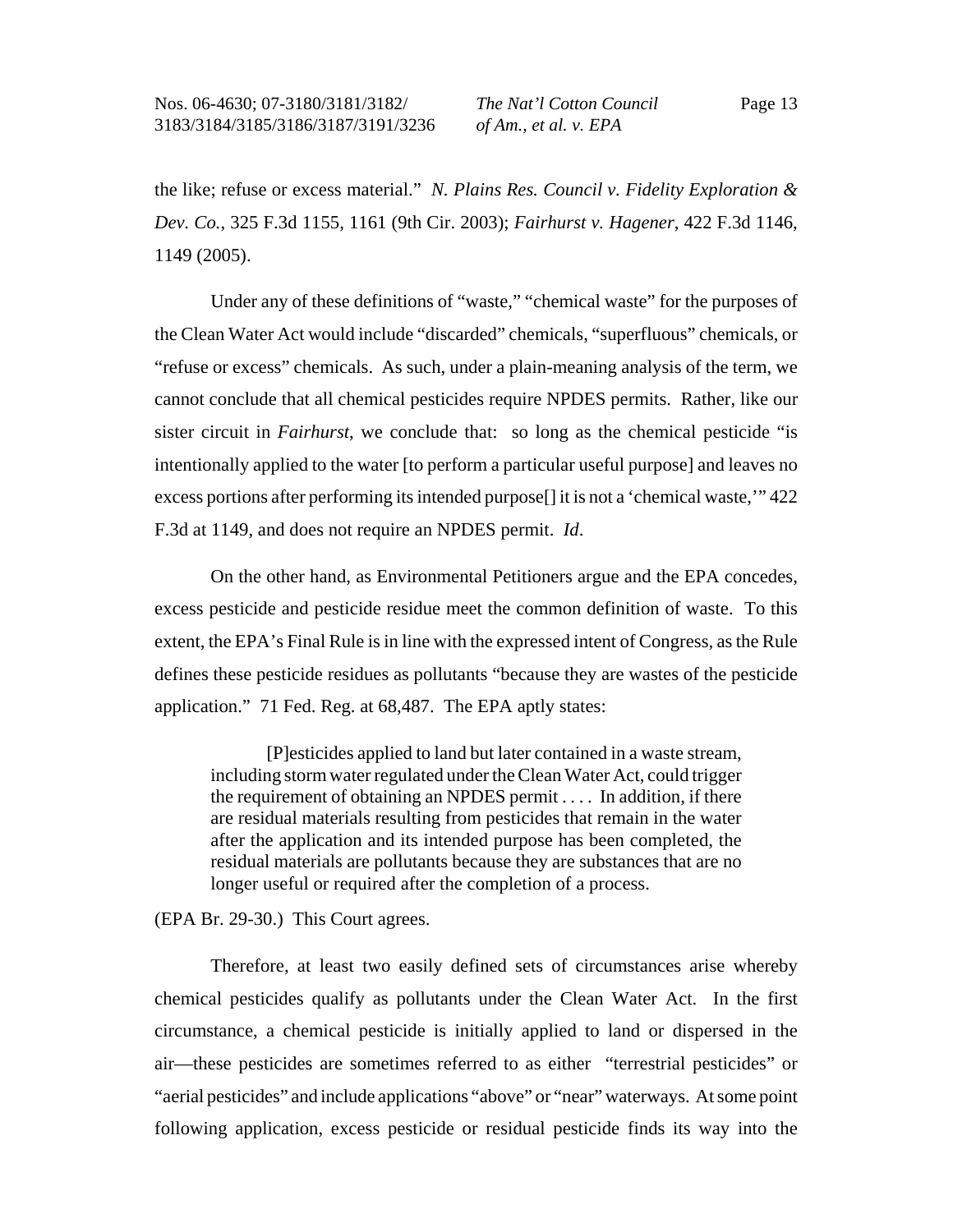the like; refuse or excess material." *N. Plains Res. Council v. Fidelity Exploration & Dev. Co.*, 325 F.3d 1155, 1161 (9th Cir. 2003); *Fairhurst v. Hagener*, 422 F.3d 1146, 1149 (2005).

Under any of these definitions of "waste," "chemical waste" for the purposes of the Clean Water Act would include "discarded" chemicals, "superfluous" chemicals, or "refuse or excess" chemicals. As such, under a plain-meaning analysis of the term, we cannot conclude that all chemical pesticides require NPDES permits. Rather, like our sister circuit in *Fairhurst*, we conclude that: so long as the chemical pesticide "is intentionally applied to the water [to perform a particular useful purpose] and leaves no excess portions after performing its intended purpose[] it is not a 'chemical waste,'" 422 F.3d at 1149, and does not require an NPDES permit. *Id*.

On the other hand, as Environmental Petitioners argue and the EPA concedes, excess pesticide and pesticide residue meet the common definition of waste. To this extent, the EPA's Final Rule is in line with the expressed intent of Congress, as the Rule defines these pesticide residues as pollutants "because they are wastes of the pesticide application." 71 Fed. Reg. at 68,487. The EPA aptly states:

[P]esticides applied to land but later contained in a waste stream, including storm water regulated under the Clean Water Act, could trigger the requirement of obtaining an NPDES permit . . . . In addition, if there are residual materials resulting from pesticides that remain in the water after the application and its intended purpose has been completed, the residual materials are pollutants because they are substances that are no longer useful or required after the completion of a process.

(EPA Br. 29-30.) This Court agrees.

Therefore, at least two easily defined sets of circumstances arise whereby chemical pesticides qualify as pollutants under the Clean Water Act. In the first circumstance, a chemical pesticide is initially applied to land or dispersed in the air—these pesticides are sometimes referred to as either "terrestrial pesticides" or "aerial pesticides" and include applications "above" or "near" waterways. At some point following application, excess pesticide or residual pesticide finds its way into the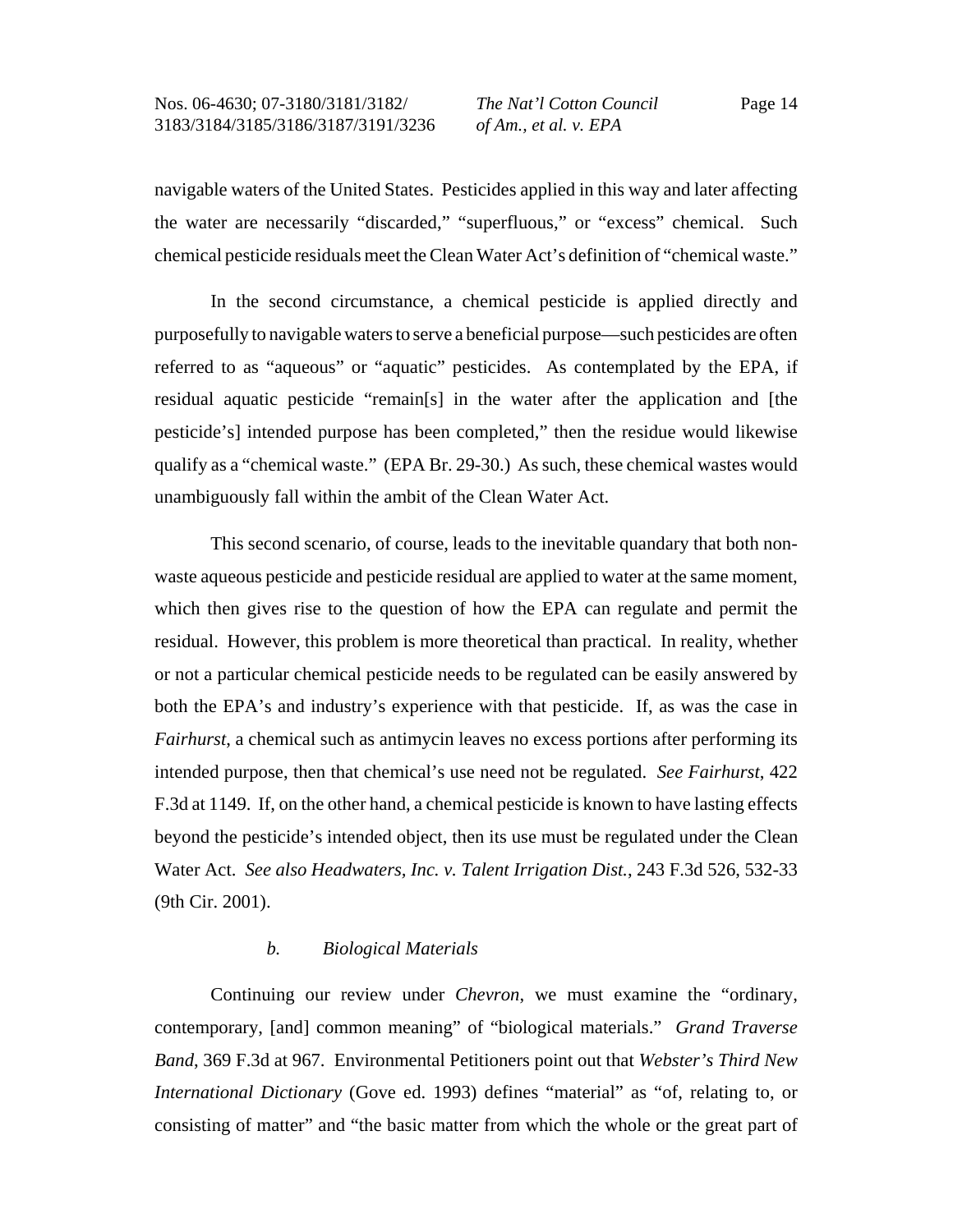navigable waters of the United States. Pesticides applied in this way and later affecting the water are necessarily "discarded," "superfluous," or "excess" chemical. Such chemical pesticide residuals meet the Clean Water Act's definition of "chemical waste."

In the second circumstance, a chemical pesticide is applied directly and purposefully to navigable waters to serve a beneficial purpose—such pesticides are often referred to as "aqueous" or "aquatic" pesticides. As contemplated by the EPA, if residual aquatic pesticide "remain[s] in the water after the application and [the pesticide's] intended purpose has been completed," then the residue would likewise qualify as a "chemical waste." (EPA Br. 29-30.) As such, these chemical wastes would unambiguously fall within the ambit of the Clean Water Act.

This second scenario, of course, leads to the inevitable quandary that both nonwaste aqueous pesticide and pesticide residual are applied to water at the same moment, which then gives rise to the question of how the EPA can regulate and permit the residual. However, this problem is more theoretical than practical. In reality, whether or not a particular chemical pesticide needs to be regulated can be easily answered by both the EPA's and industry's experience with that pesticide. If, as was the case in *Fairhurst*, a chemical such as antimycin leaves no excess portions after performing its intended purpose, then that chemical's use need not be regulated. *See Fairhurst*, 422 F.3d at 1149. If, on the other hand, a chemical pesticide is known to have lasting effects beyond the pesticide's intended object, then its use must be regulated under the Clean Water Act. *See also Headwaters, Inc. v. Talent Irrigation Dist.*, 243 F.3d 526, 532-33 (9th Cir. 2001).

### *b. Biological Materials*

Continuing our review under *Chevron*, we must examine the "ordinary, contemporary, [and] common meaning" of "biological materials." *Grand Traverse Band*, 369 F.3d at 967. Environmental Petitioners point out that *Webster's Third New International Dictionary* (Gove ed. 1993) defines "material" as "of, relating to, or consisting of matter" and "the basic matter from which the whole or the great part of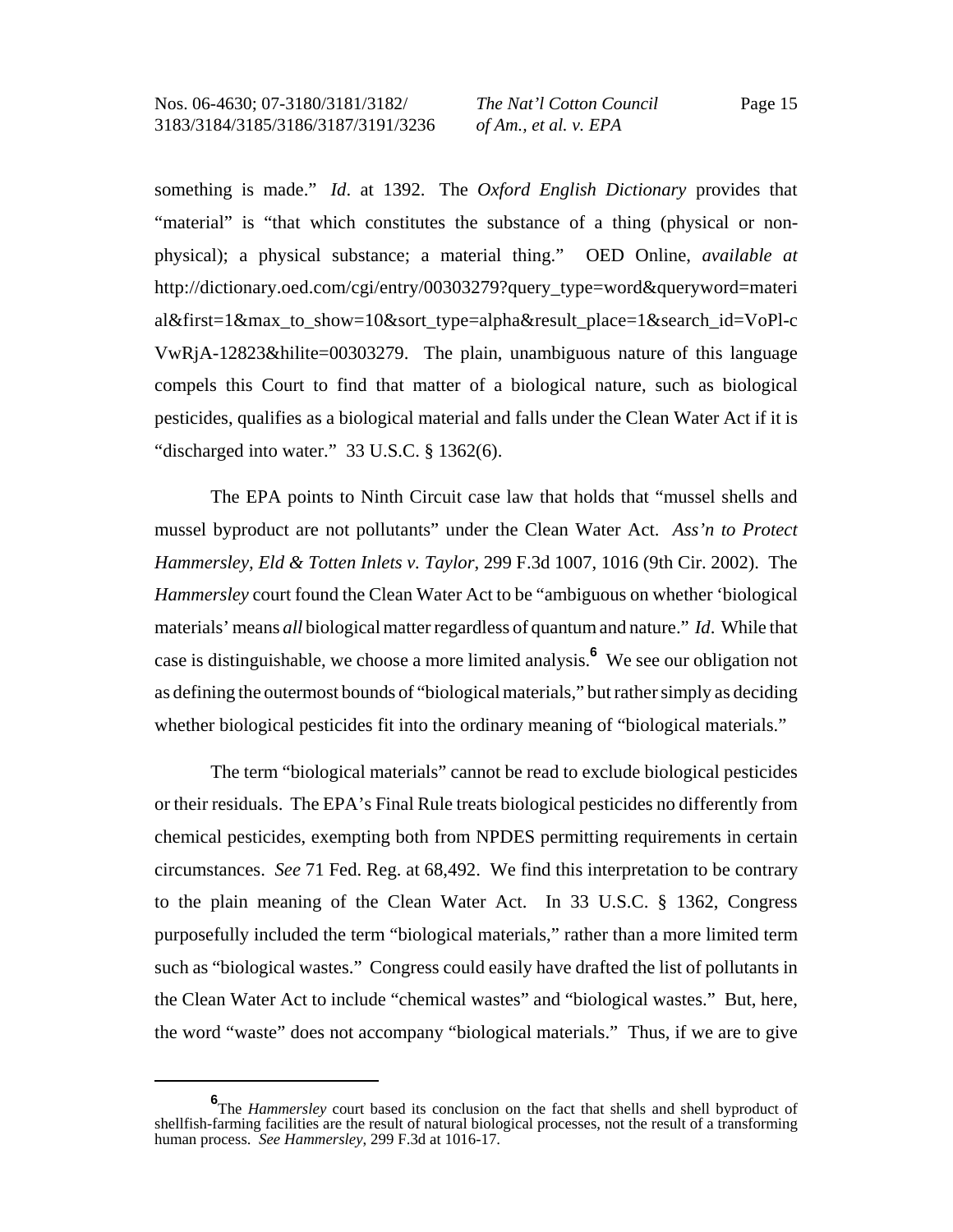something is made." *Id*. at 1392. The *Oxford English Dictionary* provides that "material" is "that which constitutes the substance of a thing (physical or nonphysical); a physical substance; a material thing." OED Online, *available at* http://dictionary.oed.com/cgi/entry/00303279?query\_type=word&queryword=materi al&first=1&max\_to\_show=10&sort\_type=alpha&result\_place=1&search\_id=VoPl-c VwRjA-12823&hilite=00303279. The plain, unambiguous nature of this language compels this Court to find that matter of a biological nature, such as biological pesticides, qualifies as a biological material and falls under the Clean Water Act if it is "discharged into water." 33 U.S.C. § 1362(6).

The EPA points to Ninth Circuit case law that holds that "mussel shells and mussel byproduct are not pollutants" under the Clean Water Act. *Ass'n to Protect Hammersley, Eld & Totten Inlets v. Taylor*, 299 F.3d 1007, 1016 (9th Cir. 2002). The *Hammersley* court found the Clean Water Act to be "ambiguous on whether 'biological materials' means *all* biological matter regardless of quantum and nature." *Id*. While that case is distinguishable, we choose a more limited analysis.**<sup>6</sup>** We see our obligation not as defining the outermost bounds of "biological materials," but rather simply as deciding whether biological pesticides fit into the ordinary meaning of "biological materials."

The term "biological materials" cannot be read to exclude biological pesticides or their residuals. The EPA's Final Rule treats biological pesticides no differently from chemical pesticides, exempting both from NPDES permitting requirements in certain circumstances. *See* 71 Fed. Reg. at 68,492. We find this interpretation to be contrary to the plain meaning of the Clean Water Act. In 33 U.S.C. § 1362, Congress purposefully included the term "biological materials," rather than a more limited term such as "biological wastes." Congress could easily have drafted the list of pollutants in the Clean Water Act to include "chemical wastes" and "biological wastes." But, here, the word "waste" does not accompany "biological materials." Thus, if we are to give

**<sup>6</sup>** The *Hammersley* court based its conclusion on the fact that shells and shell byproduct of shellfish-farming facilities are the result of natural biological processes, not the result of a transforming human process. *See Hammersley*, 299 F.3d at 1016-17.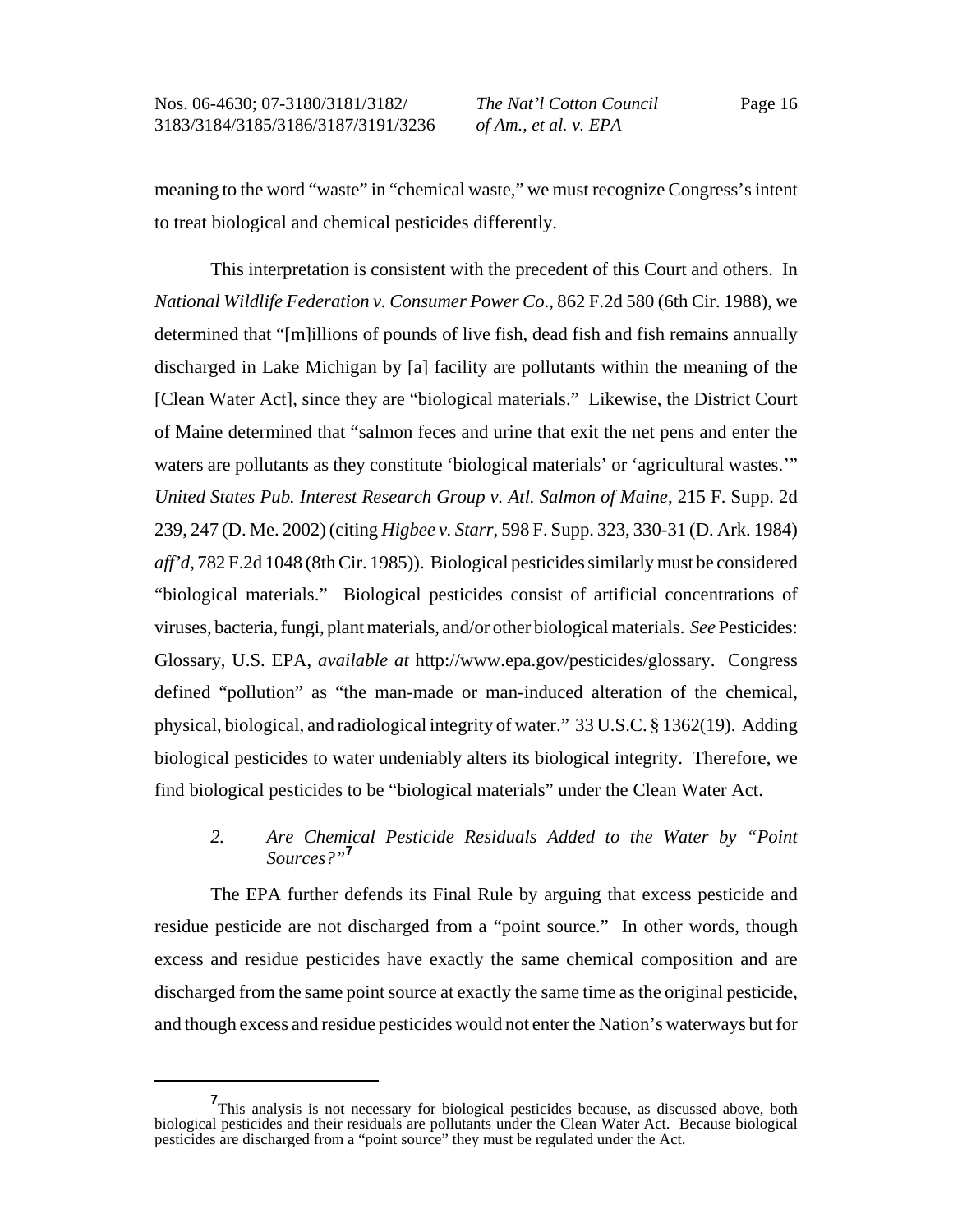*The Nat'l Cotton Council of Am., et al. v. EPA*

Page 16

meaning to the word "waste" in "chemical waste," we must recognize Congress's intent to treat biological and chemical pesticides differently.

This interpretation is consistent with the precedent of this Court and others. In *National Wildlife Federation v. Consumer Power Co*., 862 F.2d 580 (6th Cir. 1988), we determined that "[m]illions of pounds of live fish, dead fish and fish remains annually discharged in Lake Michigan by [a] facility are pollutants within the meaning of the [Clean Water Act], since they are "biological materials." Likewise, the District Court of Maine determined that "salmon feces and urine that exit the net pens and enter the waters are pollutants as they constitute 'biological materials' or 'agricultural wastes.'" *United States Pub. Interest Research Group v. Atl. Salmon of Maine*, 215 F. Supp. 2d 239, 247 (D. Me. 2002) (citing *Higbee v. Starr*, 598 F. Supp. 323, 330-31 (D. Ark. 1984) *aff'd*, 782 F.2d 1048 (8th Cir. 1985)). Biological pesticides similarly must be considered "biological materials." Biological pesticides consist of artificial concentrations of viruses, bacteria, fungi, plant materials, and/or other biological materials. *See* Pesticides: Glossary, U.S. EPA, *available at* http://www.epa.gov/pesticides/glossary. Congress defined "pollution" as "the man-made or man-induced alteration of the chemical, physical, biological, and radiological integrity of water." 33 U.S.C. § 1362(19). Adding biological pesticides to water undeniably alters its biological integrity. Therefore, we find biological pesticides to be "biological materials" under the Clean Water Act.

# *2. Are Chemical Pesticide Residuals Added to the Water by "Point Sources?"***<sup>7</sup>**

The EPA further defends its Final Rule by arguing that excess pesticide and residue pesticide are not discharged from a "point source." In other words, though excess and residue pesticides have exactly the same chemical composition and are discharged from the same point source at exactly the same time as the original pesticide, and though excess and residue pesticides would not enter the Nation's waterways but for

**<sup>7</sup>** This analysis is not necessary for biological pesticides because, as discussed above, both biological pesticides and their residuals are pollutants under the Clean Water Act. Because biological pesticides are discharged from a "point source" they must be regulated under the Act.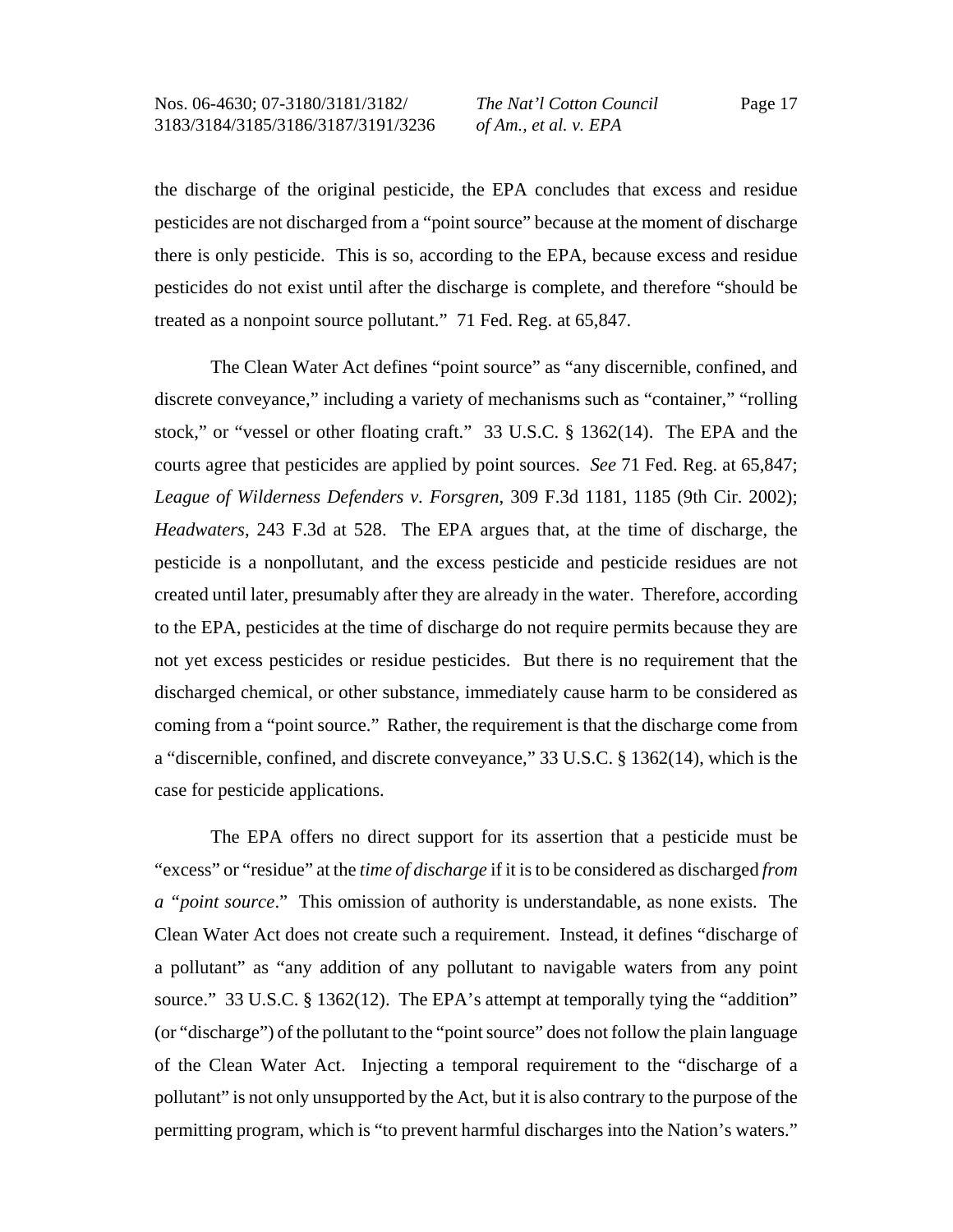*The Nat'l Cotton Council of Am., et al. v. EPA*

Page 17

the discharge of the original pesticide, the EPA concludes that excess and residue pesticides are not discharged from a "point source" because at the moment of discharge there is only pesticide. This is so, according to the EPA, because excess and residue pesticides do not exist until after the discharge is complete, and therefore "should be treated as a nonpoint source pollutant." 71 Fed. Reg. at 65,847.

The Clean Water Act defines "point source" as "any discernible, confined, and discrete conveyance," including a variety of mechanisms such as "container," "rolling stock," or "vessel or other floating craft." 33 U.S.C. § 1362(14). The EPA and the courts agree that pesticides are applied by point sources. *See* 71 Fed. Reg. at 65,847; *League of Wilderness Defenders v. Forsgren*, 309 F.3d 1181, 1185 (9th Cir. 2002); *Headwaters*, 243 F.3d at 528. The EPA argues that, at the time of discharge, the pesticide is a nonpollutant, and the excess pesticide and pesticide residues are not created until later, presumably after they are already in the water. Therefore, according to the EPA, pesticides at the time of discharge do not require permits because they are not yet excess pesticides or residue pesticides. But there is no requirement that the discharged chemical, or other substance, immediately cause harm to be considered as coming from a "point source." Rather, the requirement is that the discharge come from a "discernible, confined, and discrete conveyance," 33 U.S.C. § 1362(14), which is the case for pesticide applications.

The EPA offers no direct support for its assertion that a pesticide must be "excess" or "residue" at the *time of discharge* if it is to be considered as discharged *from a "point source*." This omission of authority is understandable, as none exists. The Clean Water Act does not create such a requirement. Instead, it defines "discharge of a pollutant" as "any addition of any pollutant to navigable waters from any point source." 33 U.S.C. § 1362(12). The EPA's attempt at temporally tying the "addition" (or "discharge") of the pollutant to the "point source" does not follow the plain language of the Clean Water Act. Injecting a temporal requirement to the "discharge of a pollutant" is not only unsupported by the Act, but it is also contrary to the purpose of the permitting program, which is "to prevent harmful discharges into the Nation's waters."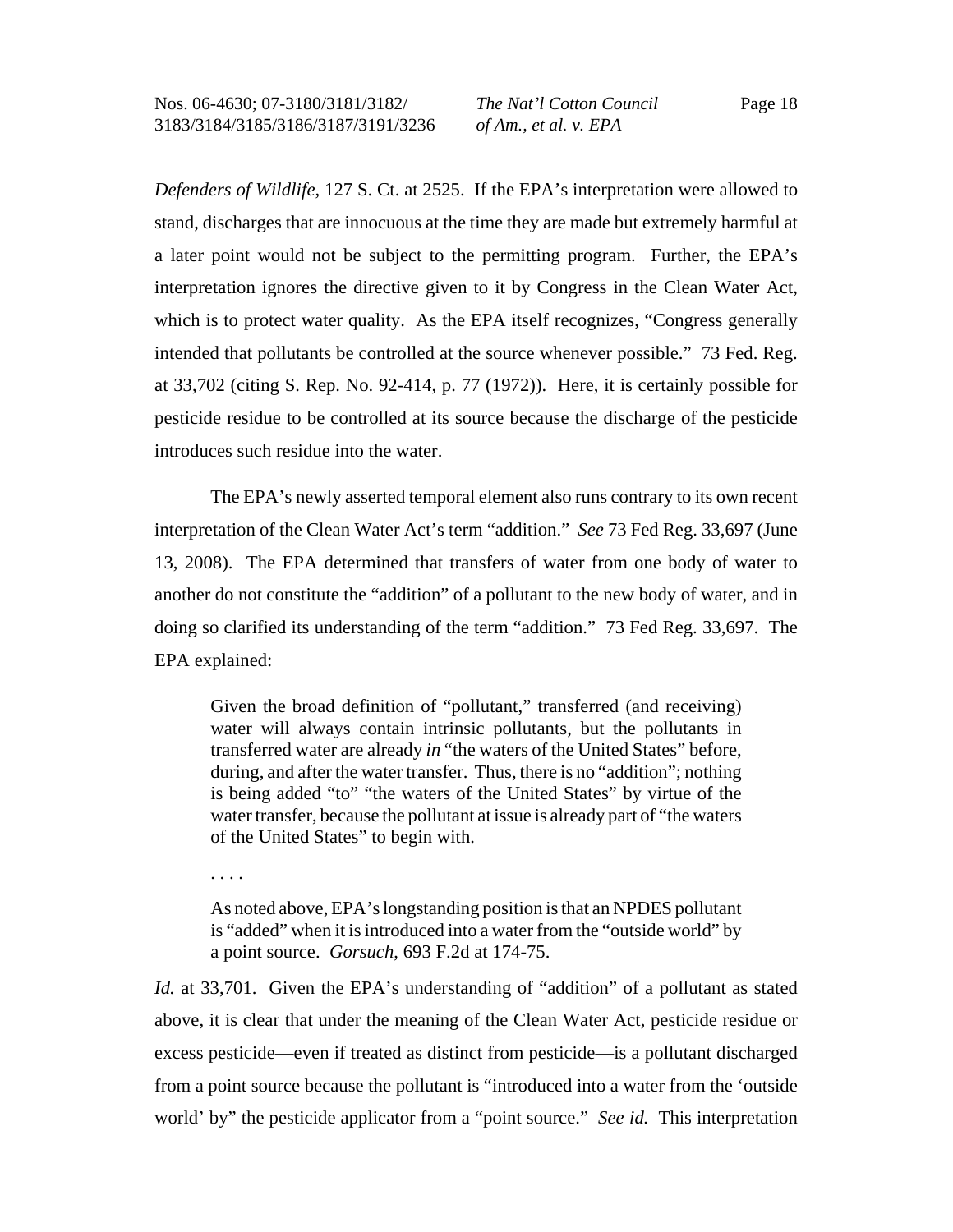*Defenders of Wildlife*, 127 S. Ct. at 2525. If the EPA's interpretation were allowed to stand, discharges that are innocuous at the time they are made but extremely harmful at a later point would not be subject to the permitting program. Further, the EPA's interpretation ignores the directive given to it by Congress in the Clean Water Act, which is to protect water quality. As the EPA itself recognizes, "Congress generally intended that pollutants be controlled at the source whenever possible." 73 Fed. Reg. at 33,702 (citing S. Rep. No. 92-414, p. 77 (1972)). Here, it is certainly possible for pesticide residue to be controlled at its source because the discharge of the pesticide introduces such residue into the water.

The EPA's newly asserted temporal element also runs contrary to its own recent interpretation of the Clean Water Act's term "addition." *See* 73 Fed Reg. 33,697 (June 13, 2008). The EPA determined that transfers of water from one body of water to another do not constitute the "addition" of a pollutant to the new body of water, and in doing so clarified its understanding of the term "addition." 73 Fed Reg. 33,697. The EPA explained:

Given the broad definition of "pollutant," transferred (and receiving) water will always contain intrinsic pollutants, but the pollutants in transferred water are already *in* "the waters of the United States" before, during, and after the water transfer. Thus, there is no "addition"; nothing is being added "to" "the waters of the United States" by virtue of the water transfer, because the pollutant at issue is already part of "the waters of the United States" to begin with.

. . . .

As noted above, EPA's longstanding position is that an NPDES pollutant is "added" when it is introduced into a water from the "outside world" by a point source. *Gorsuch*, 693 F.2d at 174-75.

*Id.* at 33,701. Given the EPA's understanding of "addition" of a pollutant as stated above, it is clear that under the meaning of the Clean Water Act, pesticide residue or excess pesticide—even if treated as distinct from pesticide—is a pollutant discharged from a point source because the pollutant is "introduced into a water from the 'outside world' by" the pesticide applicator from a "point source." *See id.* This interpretation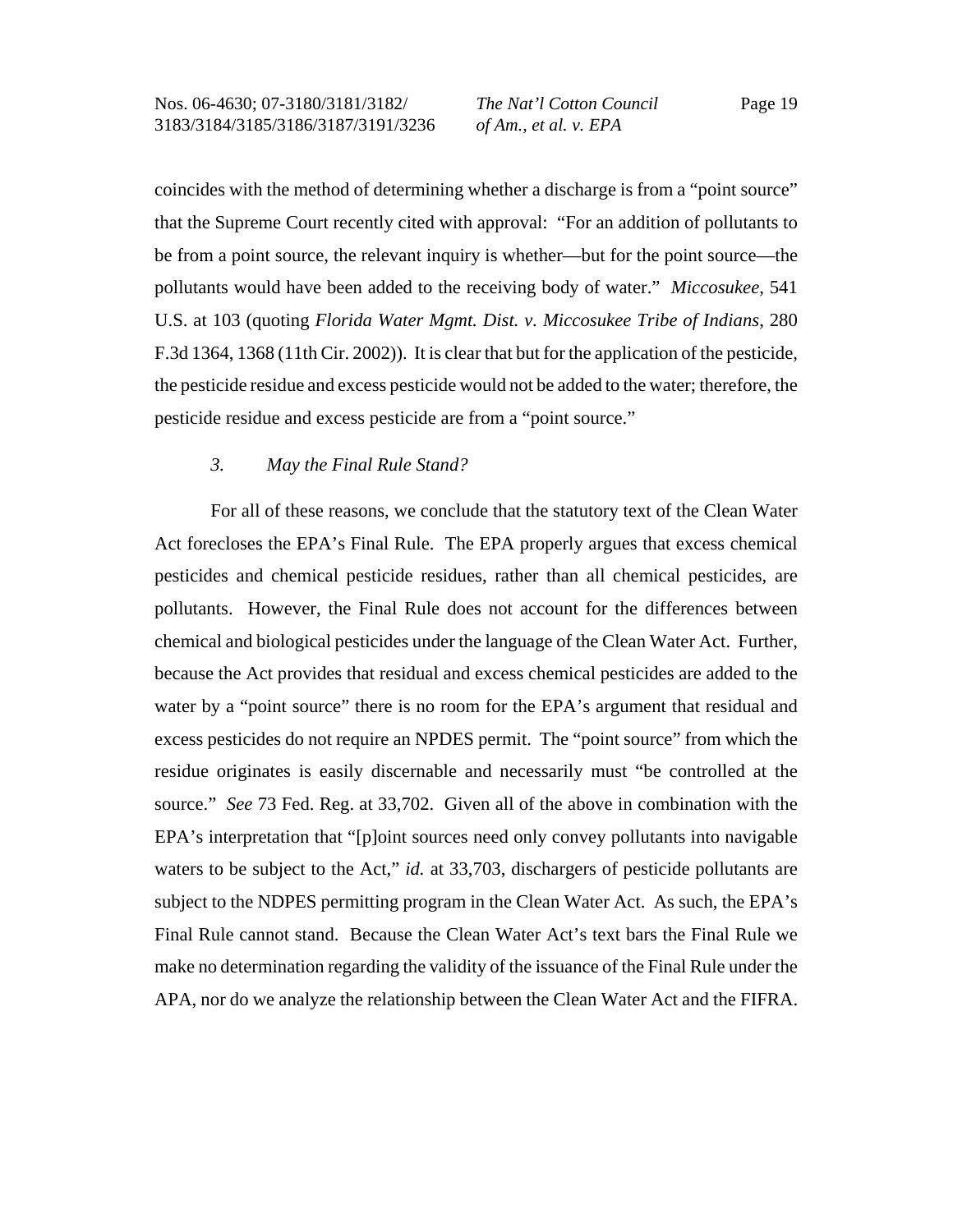coincides with the method of determining whether a discharge is from a "point source" that the Supreme Court recently cited with approval: "For an addition of pollutants to be from a point source, the relevant inquiry is whether—but for the point source—the pollutants would have been added to the receiving body of water." *Miccosukee*, 541 U.S. at 103 (quoting *Florida Water Mgmt. Dist. v. Miccosukee Tribe of Indians*, 280 F.3d 1364, 1368 (11th Cir. 2002)). It is clear that but for the application of the pesticide, the pesticide residue and excess pesticide would not be added to the water; therefore, the pesticide residue and excess pesticide are from a "point source."

### *3. May the Final Rule Stand?*

For all of these reasons, we conclude that the statutory text of the Clean Water Act forecloses the EPA's Final Rule. The EPA properly argues that excess chemical pesticides and chemical pesticide residues, rather than all chemical pesticides, are pollutants. However, the Final Rule does not account for the differences between chemical and biological pesticides under the language of the Clean Water Act. Further, because the Act provides that residual and excess chemical pesticides are added to the water by a "point source" there is no room for the EPA's argument that residual and excess pesticides do not require an NPDES permit. The "point source" from which the residue originates is easily discernable and necessarily must "be controlled at the source." *See* 73 Fed. Reg. at 33,702. Given all of the above in combination with the EPA's interpretation that "[p]oint sources need only convey pollutants into navigable waters to be subject to the Act," *id.* at 33,703, dischargers of pesticide pollutants are subject to the NDPES permitting program in the Clean Water Act. As such, the EPA's Final Rule cannot stand. Because the Clean Water Act's text bars the Final Rule we make no determination regarding the validity of the issuance of the Final Rule under the APA, nor do we analyze the relationship between the Clean Water Act and the FIFRA.